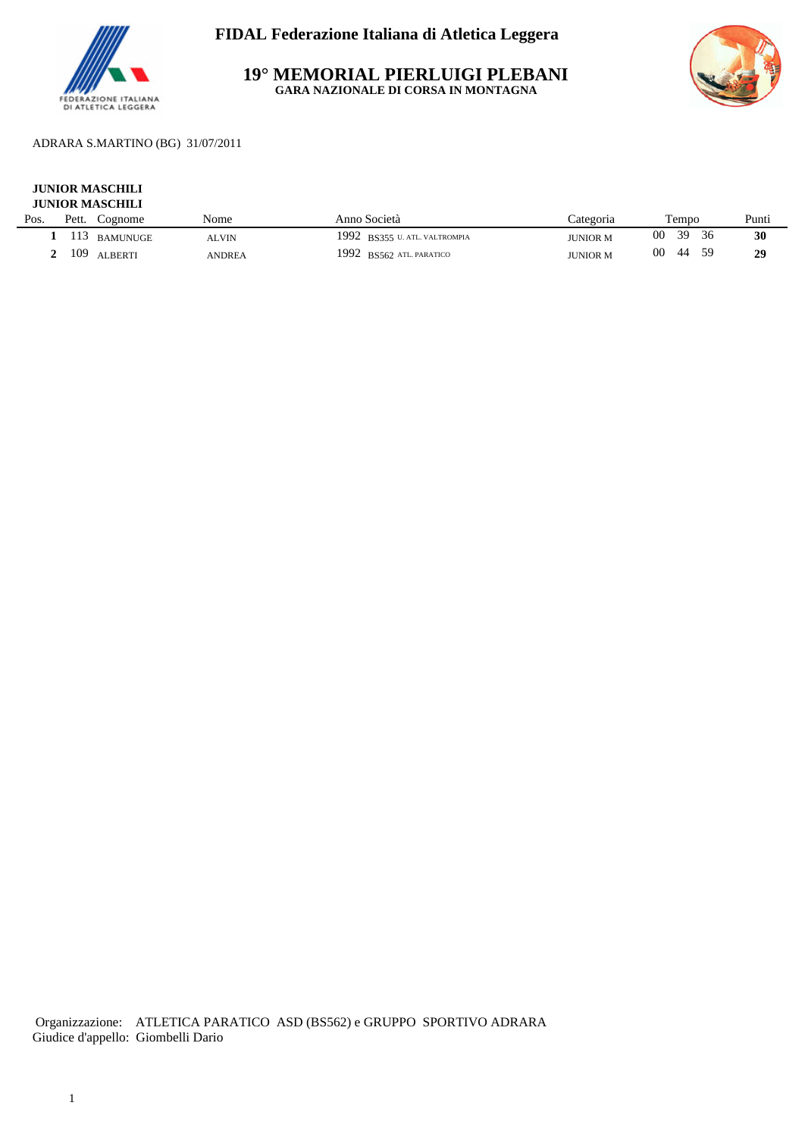

**19° MEMORIAL PIERLUIGI PLEBANI GARA NAZIONALE DI CORSA IN MONTAGNA**



## ADRARA S.MARTINO (BG) 31/07/2011

### **JUNIOR MASCHILI JUNIOR MASCHILI**

| Pos. | Pett. | Cognome         | Nome   | Anno Società                      | ∠ategoria       | Tempo           | Punti |
|------|-------|-----------------|--------|-----------------------------------|-----------------|-----------------|-------|
|      | 113   | <b>BAMUNUGE</b> | ALVIN  | 1992<br>BS355 U. ATL. VALTROMPIA  | <b>JUNIOR M</b> | 30<br>00        | 30    |
|      | 109   | <b>ALBERTI</b>  | ANDREA | 1992<br><b>BS562 ATL PARATICO</b> | <b>JUNIOR M</b> | 00<br>59<br>-44 | 29    |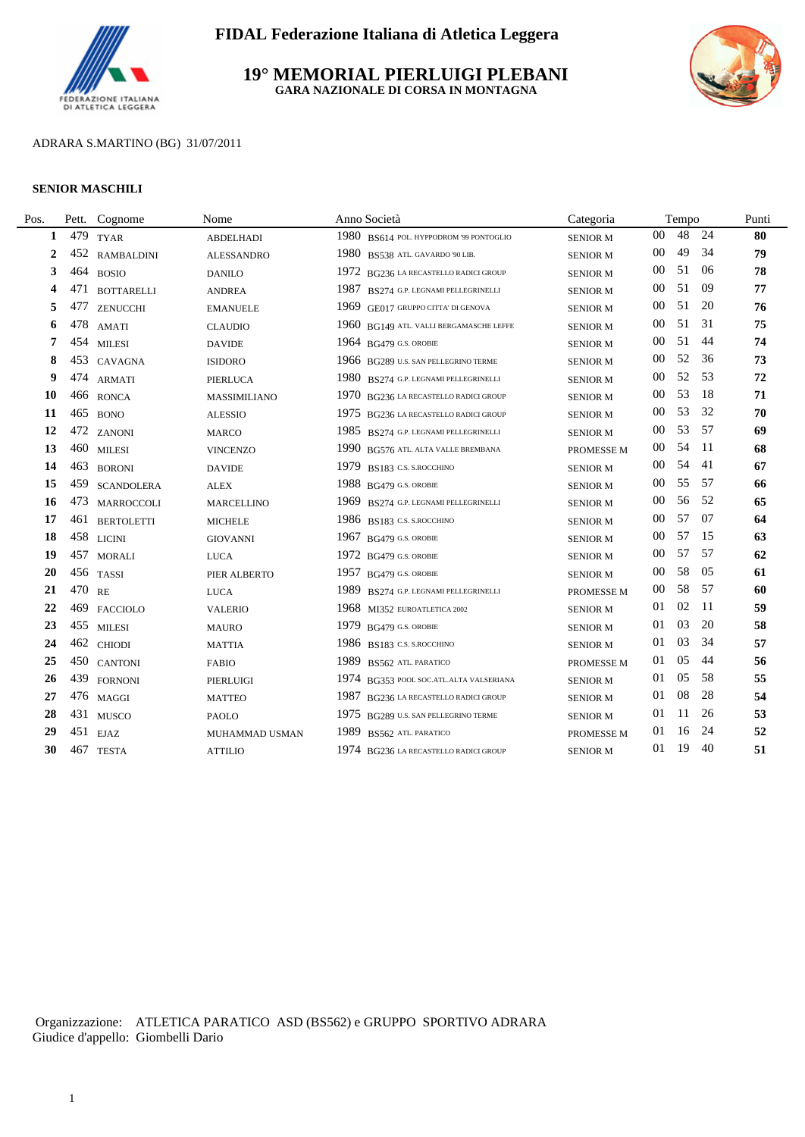

### **19° MEMORIAL PIERLUIGI PLEBANI GARA NAZIONALE DI CORSA IN MONTAGNA**



### ADRARA S.MARTINO (BG) 31/07/2011

#### **SENIOR MASCHILI**

| Pos. | Pett.  | Cognome           | Nome              | Anno Società                            | Categoria       |        | Tempo |      | Punti |
|------|--------|-------------------|-------------------|-----------------------------------------|-----------------|--------|-------|------|-------|
| 1    | 479    | <b>TYAR</b>       | <b>ABDELHADI</b>  | 1980 BS614 POL. HYPPODROM '99 PONTOGLIO | <b>SENIOR M</b> | $00\,$ | 48    | 24   | 80    |
| 2    | 452    | <b>RAMBALDINI</b> | <b>ALESSANDRO</b> | 1980 BS538 ATL. GAVARDO '90 LIB.        | <b>SENIOR M</b> | $00\,$ | 49    | 34   | 79    |
| 3    | 464    | <b>BOSIO</b>      | <b>DANILO</b>     | 1972 BG236 LA RECASTELLO RADICI GROUP   | <b>SENIOR M</b> | 00     | 51    | -06  | 78    |
| 4    |        | 471 BOTTARELLI    | <b>ANDREA</b>     | 1987 BS274 G.P. LEGNAMI PELLEGRINELLI   | <b>SENIOR M</b> | 00     | 51    | -09  | 77    |
| 5    | 477    | <b>ZENUCCHI</b>   | <b>EMANUELE</b>   | 1969 GE017 GRUPPO CITTA' DI GENOVA      | <b>SENIOR M</b> | $00\,$ | 51    | 20   | 76    |
| 6    | 478    | AMATI             | <b>CLAUDIO</b>    | 1960 BG149 ATL. VALLI BERGAMASCHE LEFFE | <b>SENIOR M</b> | $00\,$ | 51    | 31   | 75    |
| 7    | 454    | <b>MILESI</b>     | <b>DAVIDE</b>     | 1964 BG479 G.S. OROBIE                  | <b>SENIOR M</b> | $00\,$ | 51    | 44   | 74    |
| 8    | 453    | CAVAGNA           | <b>ISIDORO</b>    | 1966 BG289 U.S. SAN PELLEGRINO TERME    | <b>SENIOR M</b> | 00     | 52    | 36   | 73    |
| 9    | 474    | <b>ARMATI</b>     | <b>PIERLUCA</b>   | 1980 BS274 G.P. LEGNAMI PELLEGRINELLI   | <b>SENIOR M</b> | 00     | 52    | 53   | 72    |
| 10   |        | 466 RONCA         | MASSIMILIANO      | 1970 BG236 LA RECASTELLO RADICI GROUP   | <b>SENIOR M</b> | 00     | 53    | -18  | 71    |
| 11   |        | 465 BONO          | <b>ALESSIO</b>    | 1975 BG236 LA RECASTELLO RADICI GROUP   | <b>SENIOR M</b> | 00     | 53    | 32   | 70    |
| 12   |        | 472 ZANONI        | <b>MARCO</b>      | 1985 BS274 G.P. LEGNAMI PELLEGRINELLI   | <b>SENIOR M</b> | $00\,$ | 53    | 57   | 69    |
| 13   |        | 460 MILESI        | <b>VINCENZO</b>   | 1990 BG576 ATL. ALTA VALLE BREMBANA     | PROMESSE M      | 00     | 54    | -11  | 68    |
| 14   | 463    | <b>BORONI</b>     | <b>DAVIDE</b>     | 1979 BS183 C.S. S. ROCCHINO             | <b>SENIOR M</b> | $00\,$ | 54    | 41   | 67    |
| 15   | 459    | <b>SCANDOLERA</b> | <b>ALEX</b>       | 1988 BG479 G.S. OROBIE                  | <b>SENIOR M</b> | 00     | 55    | - 57 | 66    |
| 16   |        | 473 MARROCCOLI    | <b>MARCELLINO</b> | 1969 BS274 G.P. LEGNAMI PELLEGRINELLI   | <b>SENIOR M</b> | $00\,$ | 56    | .52  | 65    |
| 17   | 461    | <b>BERTOLETTI</b> | <b>MICHELE</b>    | 1986 BS183 C.S. S.ROCCHINO              | <b>SENIOR M</b> | 00     | 57    | 07   | 64    |
| 18   |        | 458 LICINI        | <b>GIOVANNI</b>   | 1967 BG479 G.S. OROBIE                  | <b>SENIOR M</b> | 00     | .57   | 15   | 63    |
| 19   |        | 457 MORALI        | <b>LUCA</b>       | $1972$ BG479 G.S. OROBIE                | <b>SENIOR M</b> | 00     | 57    | - 57 | 62    |
| 20   |        | 456 TASSI         | PIER ALBERTO      | 1957 BG479 G.S. OROBIE                  | <b>SENIOR M</b> | $00\,$ | 58    | 05   | 61    |
| 21   | 470 RE |                   | <b>LUCA</b>       | 1989 BS274 G.P. LEGNAMI PELLEGRINELLI   | PROMESSE M      | 00     | 58    | - 57 | 60    |
| 22   | 469    | <b>FACCIOLO</b>   | <b>VALERIO</b>    | 1968 MI352 EUROATLETICA 2002            | <b>SENIOR M</b> | 01     | 02    | -11  | 59    |
| 23   |        | 455 MILESI        | <b>MAURO</b>      | 1979 BG479 G.S. OROBIE                  | <b>SENIOR M</b> | 01     | 03    | 20   | 58    |
| 24   |        | 462 CHIODI        | <b>MATTIA</b>     | 1986 BS183 C.S. S. ROCCHINO             | <b>SENIOR M</b> | 01     | 03    | 34   | 57    |
| 25   |        | 450 CANTONI       | <b>FABIO</b>      | 1989 BS562 ATL. PARATICO                | PROMESSE M      | 01     | 05    | 44   | 56    |
| 26   |        | 439 FORNONI       | PIERLUIGI         | 1974 BG353 POOL SOC.ATL.ALTA VALSERIANA | <b>SENIOR M</b> | 01     | 05    | -58  | 55    |
| 27   |        | 476 MAGGI         | <b>MATTEO</b>     | 1987 BG236 LA RECASTELLO RADICI GROUP   | <b>SENIOR M</b> | 01     | 08    | 28   | 54    |
| 28   |        | 431 MUSCO         | <b>PAOLO</b>      | 1975 BG289 U.S. SAN PELLEGRINO TERME    | <b>SENIOR M</b> | 01     | 11    | 26   | 53    |
| 29   |        | 451 EJAZ          | MUHAMMAD USMAN    | 1989 BS562 ATL. PARATICO                | PROMESSE M      | 01     | 16    | 24   | 52    |
| 30   |        | 467 TESTA         | <b>ATTILIO</b>    | 1974 BG236 LA RECASTELLO RADICI GROUP   | <b>SENIOR M</b> | 01     | 19    | 40   | 51    |
|      |        |                   |                   |                                         |                 |        |       |      |       |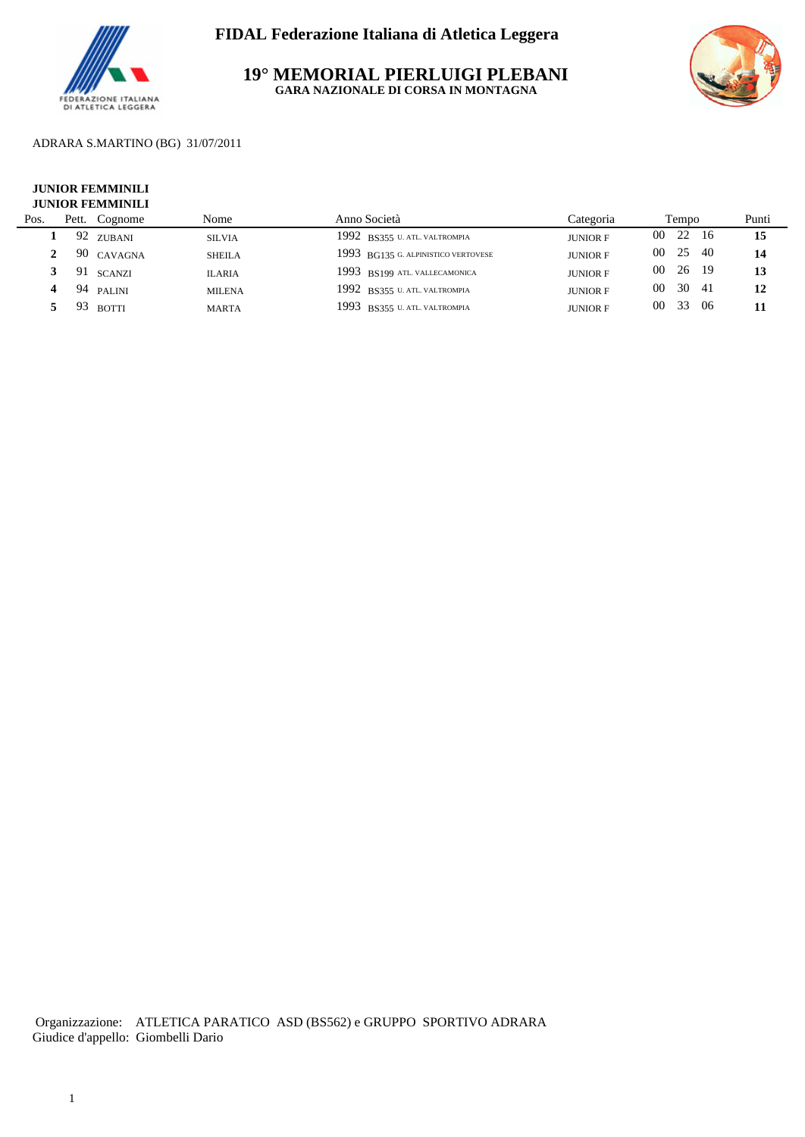

**19° MEMORIAL PIERLUIGI PLEBANI GARA NAZIONALE DI CORSA IN MONTAGNA**



### ADRARA S.MARTINO (BG) 31/07/2011

#### **JUNIOR FEMMINILI JUNIOR FEMMINILI**

| Pos. | Pett. | Cognome    | Nome          | Anno Società                        | Categoria       | Tempo           |      |     | Punti |
|------|-------|------------|---------------|-------------------------------------|-----------------|-----------------|------|-----|-------|
|      |       | 92 zubani  | <b>SILVIA</b> | 1992 BS355 U. ATL. VALTROMPIA       | <b>JUNIOR F</b> | 00              | 22   | 16  | 15    |
|      |       | 90 CAVAGNA | <b>SHEILA</b> | 1993 BG135 G. ALPINISTICO VERTOVESE | <b>JUNIOR F</b> | 00 <sup>1</sup> | 25   | -40 | 14    |
|      |       | 91 SCANZI  | <b>ILARIA</b> | 1993 BS199 ATL VALLECAMONICA        | <b>JUNIOR F</b> | 00 <sup>2</sup> | - 26 | 19  | 13    |
|      |       | 94 PALINI  | <b>MILENA</b> | 1992 BS355 U. ATL. VALTROMPIA       | <b>JUNIOR F</b> | 00 <sup>0</sup> | 30   |     | 12    |
|      |       | $93$ rotti | <b>MARTA</b>  | 1993 BS355 U. ATL. VALTROMPIA       | <b>JUNIOR F</b> | 00 <sup>2</sup> | 33   | -06 |       |
|      |       |            |               |                                     |                 |                 |      |     |       |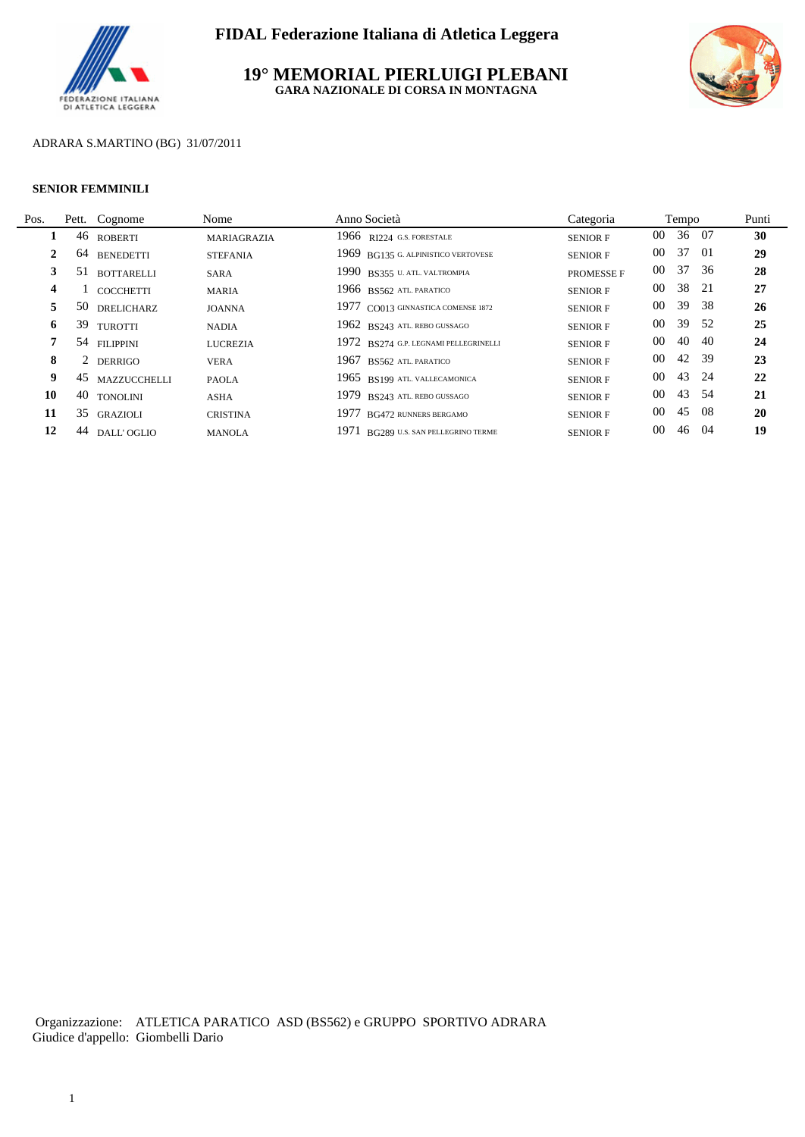

**19° MEMORIAL PIERLUIGI PLEBANI GARA NAZIONALE DI CORSA IN MONTAGNA**



### ADRARA S.MARTINO (BG) 31/07/2011

#### **SENIOR FEMMINILI**

L.

|                                                        | Nome                                                                                                                                                       | Anno Società                          | Categoria         |                 |    | Punti                                                                                                 |
|--------------------------------------------------------|------------------------------------------------------------------------------------------------------------------------------------------------------------|---------------------------------------|-------------------|-----------------|----|-------------------------------------------------------------------------------------------------------|
|                                                        | MARIAGRAZIA                                                                                                                                                | $1966$ RJ224 G.S. FORESTALE           | <b>SENIOR F</b>   | 00 <sup>°</sup> |    | 30                                                                                                    |
| <b>BENEDETTI</b>                                       | <b>STEFANIA</b>                                                                                                                                            | 1969 BG135 G. ALPINISTICO VERTOVESE   | <b>SENIOR F</b>   | $00\,$          |    | 29                                                                                                    |
| <b>BOTTARELLI</b>                                      | <b>SARA</b>                                                                                                                                                | 1990 BS355 U. ATL. VALTROMPIA         | <b>PROMESSE F</b> | 00              |    | 28                                                                                                    |
| <b>COCCHETTI</b>                                       | <b>MARIA</b>                                                                                                                                               | 1966 BS562 ATL PARATICO               | <b>SENIOR F</b>   | $00\,$          | 38 | 27                                                                                                    |
| <b>DRELICHARZ</b>                                      | <b>JOANNA</b>                                                                                                                                              | 1977 CO013 GINNASTICA COMENSE 1872    | <b>SENIOR F</b>   | $00\,$          | 39 | 26                                                                                                    |
|                                                        | <b>NADIA</b>                                                                                                                                               | 1962 BS243 ATL. REBO GUSSAGO          | <b>SENIOR F</b>   | 00              | 39 | 25                                                                                                    |
|                                                        | <b>LUCREZIA</b>                                                                                                                                            | 1972 BS274 G.P. LEGNAMI PELLEGRINELLI | <b>SENIOR F</b>   | $00\,$          | 40 | 24                                                                                                    |
|                                                        | <b>VERA</b>                                                                                                                                                | 1967 BS562 ATL PARATICO               | <b>SENIOR F</b>   | $00\,$          |    | 23                                                                                                    |
|                                                        | <b>PAOLA</b>                                                                                                                                               | 1965 BS199 ATL. VALLECAMONICA         | <b>SENIOR F</b>   | $00\,$          |    | 22                                                                                                    |
|                                                        | <b>ASHA</b>                                                                                                                                                | 1979 BS243 ATL. REBO GUSSAGO          | <b>SENIOR F</b>   | 00              | 43 | 21                                                                                                    |
|                                                        | <b>CRISTINA</b>                                                                                                                                            | 1977 BG472 RUNNERS BERGAMO            | <b>SENIOR F</b>   | $00\,$          | 45 | 20                                                                                                    |
|                                                        | <b>MANOLA</b>                                                                                                                                              | 1971 BG289 U.S. SAN PELLEGRINO TERME  | <b>SENIOR F</b>   | $00\,$          |    | 19                                                                                                    |
| 2<br>3<br>4<br>5<br>6<br>7<br>8<br>9<br>10<br>11<br>12 | Pett. Cognome<br>46 ROBERTI<br>64<br>51<br>50<br>39 TUROTTI<br>54 FILIPPINI<br>2 DERRIGO<br>45 MAZZUCCHELLI<br>40 TONOLINI<br>35 GRAZIOLI<br>44 DALL'OGLIO |                                       |                   |                 |    | Tempo<br>36 07<br>37 01<br>37 36<br>21<br>-38<br>- 52<br>-40<br>42 39<br>43 24<br>-54<br>-08<br>46 04 |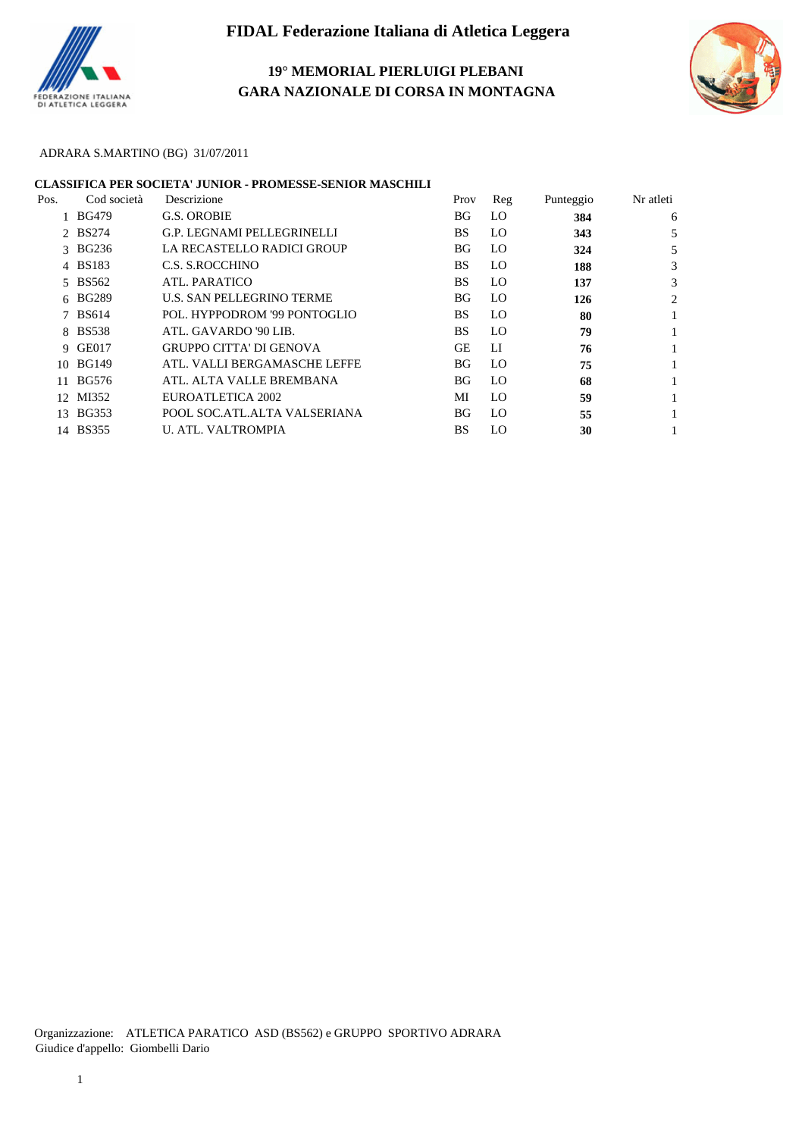

## **19° MEMORIAL PIERLUIGI PLEBANI GARA NAZIONALE DI CORSA IN MONTAGNA**



### ADRARA S.MARTINO (BG) 31/07/2011

### **CLASSIFICA PER SOCIETA' JUNIOR - PROMESSE-SENIOR MASCHILI**

| Pos. | Cod società  | Descrizione                    | Prov      | Reg | Punteggio | Nr atleti |
|------|--------------|--------------------------------|-----------|-----|-----------|-----------|
|      | <b>BG479</b> | G.S. OROBIE                    | BG        | LO. | 384       | 6         |
|      | 2 BS274      | G.P. LEGNAMI PELLEGRINELLI     | <b>BS</b> | LO. | 343       |           |
|      | 3 BG236      | LA RECASTELLO RADICI GROUP     | BG        | LO. | 324       |           |
|      | 4 BS183      | C.S. S.ROCCHINO                | <b>BS</b> | LO. | 188       | 3         |
|      | 5 BS562      | ATL. PARATICO                  | BS        | LO. | 137       |           |
|      | 6 BG289      | U.S. SAN PELLEGRINO TERME      | BG.       | LO. | 126       | 2         |
|      | 7 BS614      | POL. HYPPODROM '99 PONTOGLIO   | BS.       | LO. | -80       |           |
|      | 8 BS538      | ATL. GAVARDO '90 LIB.          | <b>BS</b> | LO. | 79        |           |
|      | 9 GE017      | <b>GRUPPO CITTA' DI GENOVA</b> | <b>GE</b> | LI  | 76        |           |
|      | 10 BG149     | ATL. VALLI BERGAMASCHE LEFFE   | BG        | LO. | 75        |           |
|      | 11 BG576     | ATL. ALTA VALLE BREMBANA       | BG.       | LO. | 68        |           |
|      | 12 MI352     | EUROATLETICA 2002              | МI        | LO. | 59        |           |
|      | 13 BG353     | POOL SOC.ATL.ALTA VALSERIANA   | BG        | LO. | 55        |           |
|      | 14 BS355     | <b>U. ATL. VALTROMPIA</b>      | BS        | LO. | 30        |           |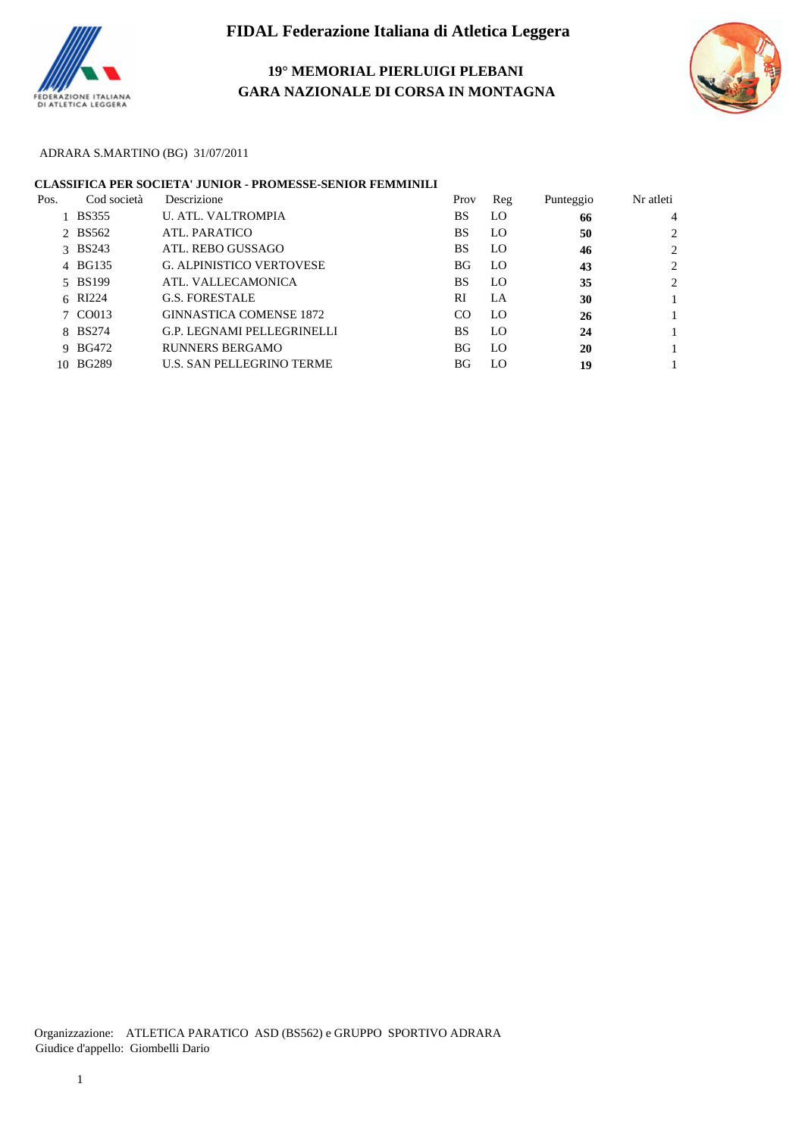

## **19° MEMORIAL PIERLUIGI PLEBANI GARA NAZIONALE DI CORSA IN MONTAGNA**



### ADRARA S.MARTINO (BG) 31/07/2011

|      |             | <b>CLASSIFICA PER SOCIETA' JUNIOR - PROMESSE-SENIOR FEMMINILI</b> |           |     |           |                |
|------|-------------|-------------------------------------------------------------------|-----------|-----|-----------|----------------|
| Pos. | Cod società | Descrizione                                                       | Prov      | Reg | Punteggio | Nr atleti      |
|      | 1 BS355     | <b>U. ATL. VALTROMPIA</b>                                         | BS        | LO  | 66        | 4              |
|      | 2 BS562     | ATL. PARATICO                                                     | <b>BS</b> | LO  | 50        | C              |
|      | 3 BS243     | ATL. REBO GUSSAGO                                                 | <b>BS</b> | LO  | 46        | ↑              |
|      | 4 BG135     | <b>G. ALPINISTICO VERTOVESE</b>                                   | BG        | LO  | 43        | $\mathfrak{D}$ |
|      | 5 BS199     | ATL. VALLECAMONICA                                                | <b>BS</b> | LO  | 35        | ↑              |
|      | 6 RI224     | <b>G.S. FORESTALE</b>                                             | RI        | LA  | 30        |                |
|      | 7 CO013     | <b>GINNASTICA COMENSE 1872</b>                                    | CO        | LO  | 26        |                |
|      | 8 BS274     | G.P. LEGNAMI PELLEGRINELLI                                        | BS        | LO  | 24        |                |
|      | 9 BG472     | <b>RUNNERS BERGAMO</b>                                            | BG        | LO  | 20        |                |
|      | 10 BG289    | U.S. SAN PELLEGRINO TERME                                         | BG.       | LO  | 19        |                |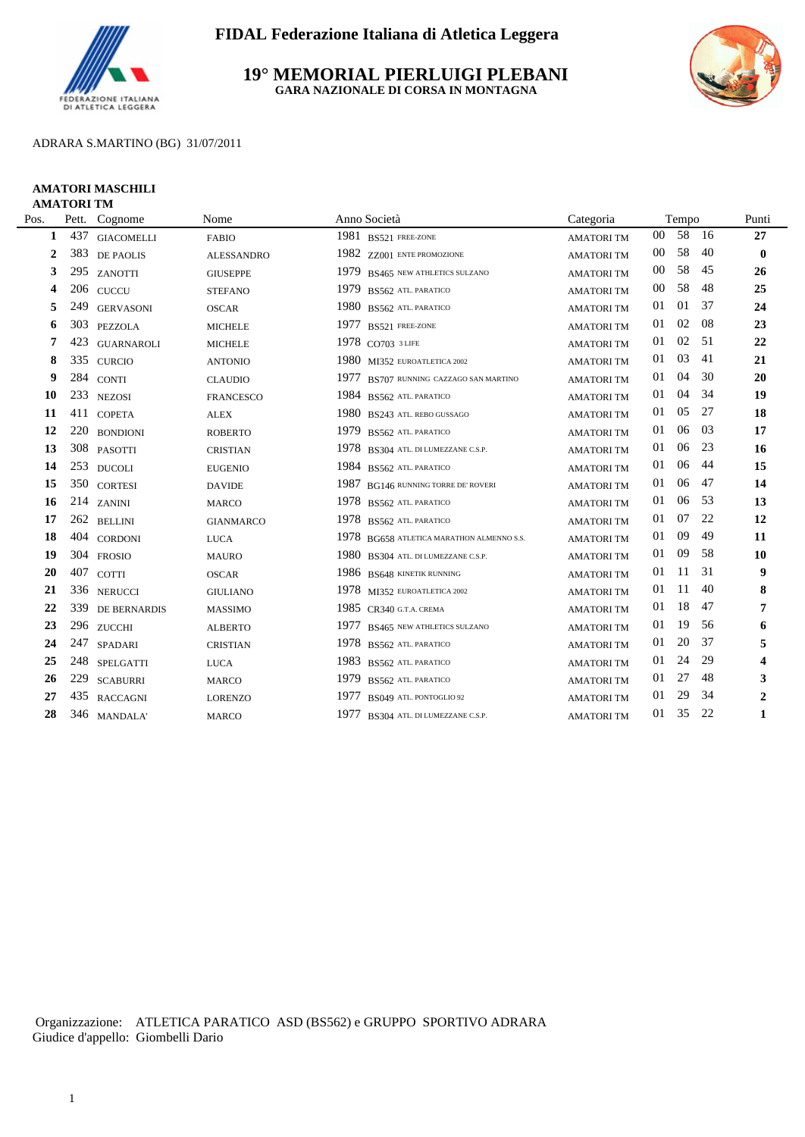

### **19° MEMORIAL PIERLUIGI PLEBANI GARA NAZIONALE DI CORSA IN MONTAGNA**



### ADRARA S.MARTINO (BG) 31/07/2011

#### **AMATORI MASCHILI AMATORI TM**

| Pos.           | Pett. | Cognome             | Nome              | Anno Società                              | Categoria         |        | Tempo |     | Punti          |
|----------------|-------|---------------------|-------------------|-------------------------------------------|-------------------|--------|-------|-----|----------------|
| 1              | 437   | <b>GIACOMELLI</b>   | <b>FABIO</b>      | 1981 BS521 FREE-ZONE                      | <b>AMATORITM</b>  | $00\,$ | 58    | 16  | 27             |
| $\overline{2}$ | 383   | DE PAOLIS           | <b>ALESSANDRO</b> | 1982 ZZ001 ENTE PROMOZIONE                | <b>AMATORITM</b>  | 00     | 58    | 40  | $\bf{0}$       |
| 3              |       | 295 ZANOTTI         | <b>GIUSEPPE</b>   | 1979<br>BS465 NEW ATHLETICS SULZANO       | <b>AMATORI TM</b> | 00     | 58    | 45  | 26             |
| 4              |       | 206 CUCCU           | <b>STEFANO</b>    | 1979<br>BS562 ATL. PARATICO               | <b>AMATORITM</b>  | 00     | 58    | 48  | 25             |
| 5              | 249   | <b>GERVASONI</b>    | <b>OSCAR</b>      | 1980<br>BS562 ATL. PARATICO               | <b>AMATORITM</b>  | 01     | 01    | 37  | 24             |
| 6              | 303   | PEZZOLA             | <b>MICHELE</b>    | 1977<br>BS521 FREE-ZONE                   | <b>AMATORITM</b>  | 01     | 02    | -08 | 23             |
| 7              | 423   | <b>GUARNAROLI</b>   | <b>MICHELE</b>    | 1978 CO703 3 LIFE                         | <b>AMATORITM</b>  | 01     | 02    | 51  | 22             |
| 8              | 335   | <b>CURCIO</b>       | <b>ANTONIO</b>    | 1980 MI352 EUROATLETICA 2002              | <b>AMATORITM</b>  | 01     | 03    | 41  | 21             |
| 9              |       | 284 CONTI           | <b>CLAUDIO</b>    | 1977<br>BS707 RUNNING CAZZAGO SAN MARTINO | <b>AMATORI TM</b> | 01     | 04    | 30  | 20             |
| 10             | 233   | <b>NEZOSI</b>       | <b>FRANCESCO</b>  | 1984<br>BS562 ATL. PARATICO               | <b>AMATORITM</b>  | 01     | 04    | 34  | 19             |
| 11             |       | 411 COPETA          | $\mbox{ALEX}$     | 1980 BS243 ATL. REBO GUSSAGO              | <b>AMATORITM</b>  | 01     | 0.5   | 27  | 18             |
| 12             |       | 220 BONDIONI        | <b>ROBERTO</b>    | 1979<br>BS562 ATL. PARATICO               | <b>AMATORI TM</b> | 01     | 06    | 03  | 17             |
| 13             |       | 308 PASOTTI         | <b>CRISTIAN</b>   | 1978<br>BS304 ATL. DI LUMEZZANE C.S.P.    | <b>AMATORITM</b>  | 01     | 06    | 23  | 16             |
| 14             |       | 253 DUCOLI          | <b>EUGENIO</b>    | 1984<br>BS562 ATL PARATICO                | <b>AMATORITM</b>  | 01     | 06    | -44 | 15             |
| 15             |       | 350 CORTESI         | <b>DAVIDE</b>     | 1987<br>BG146 RUNNING TORRE DE' ROVERI    | <b>AMATORITM</b>  | 01     | 06    | 47  | 14             |
| 16             |       | 214 ZANINI          | <b>MARCO</b>      | 1978<br>BS562 ATL PARATICO                | <b>AMATORITM</b>  | 01     | 06    | 53  | 13             |
| 17             |       | 262 BELLINI         | <b>GIANMARCO</b>  | 1978<br>BS562 ATL PARATICO                | <b>AMATORITM</b>  | 01     | 07    | 22  | 12             |
| 18             |       | 404 CORDONI         | <b>LUCA</b>       | 1978 BG658 ATLETICA MARATHON ALMENNO S.S. | <b>AMATORITM</b>  | 01     | 09    | 49  | 11             |
| 19             |       | 304 FROSIO          | <b>MAURO</b>      | 1980 BS304 ATL. DI LUMEZZANE C.S.P.       | <b>AMATORITM</b>  | 01     | 09    | 58  | 10             |
| 20             | 407   | <b>COTTI</b>        | <b>OSCAR</b>      | 1986 BS648 KINETIK RUNNING                | <b>AMATORITM</b>  | 01     | 11    | 31  | 9              |
| 21             |       | 336 NERUCCI         | <b>GIULIANO</b>   | 1978 MI352 EUROATLETICA 2002              | <b>AMATORITM</b>  | 01     | 11    | 40  | 8              |
| 22             | 339   | <b>DE BERNARDIS</b> | <b>MASSIMO</b>    | 1985 CR340 G.T.A. CREMA                   | <b>AMATORI TM</b> | 01     | 18    | 47  | 7              |
| 23             |       | 296 ZUCCHI          | <b>ALBERTO</b>    | 1977<br>BS465 NEW ATHLETICS SULZANO       | <b>AMATORITM</b>  | 01     | 19    | 56  | 6              |
| 24             | 247   | SPADARI             | <b>CRISTIAN</b>   | 1978<br>BS562 ATL PARATICO                | <b>AMATORITM</b>  | 01     | 20    | 37  | 5              |
| 25             |       | 248 SPELGATTI       | <b>LUCA</b>       | 1983<br>BS562 ATL. PARATICO               | <b>AMATORITM</b>  | 01     | 24    | 29  | 4              |
| 26             | 229   | <b>SCABURRI</b>     | <b>MARCO</b>      | 1979<br>BS562 ATL. PARATICO               | <b>AMATORITM</b>  | 01     | 27    | 48  | 3              |
| 27             |       | 435 RACCAGNI        | <b>LORENZO</b>    | 1977<br>BS049 ATL. PONTOGLIO 92           | <b>AMATORITM</b>  | 01     | 29    | 34  | $\overline{2}$ |
| 28             |       | 346 MANDALA         | <b>MARCO</b>      | 1977 BS304 ATL. DI LUMEZZANE C.S.P.       | <b>AMATORITM</b>  | 01     | 35    | 22  | 1              |
|                |       |                     |                   |                                           |                   |        |       |     |                |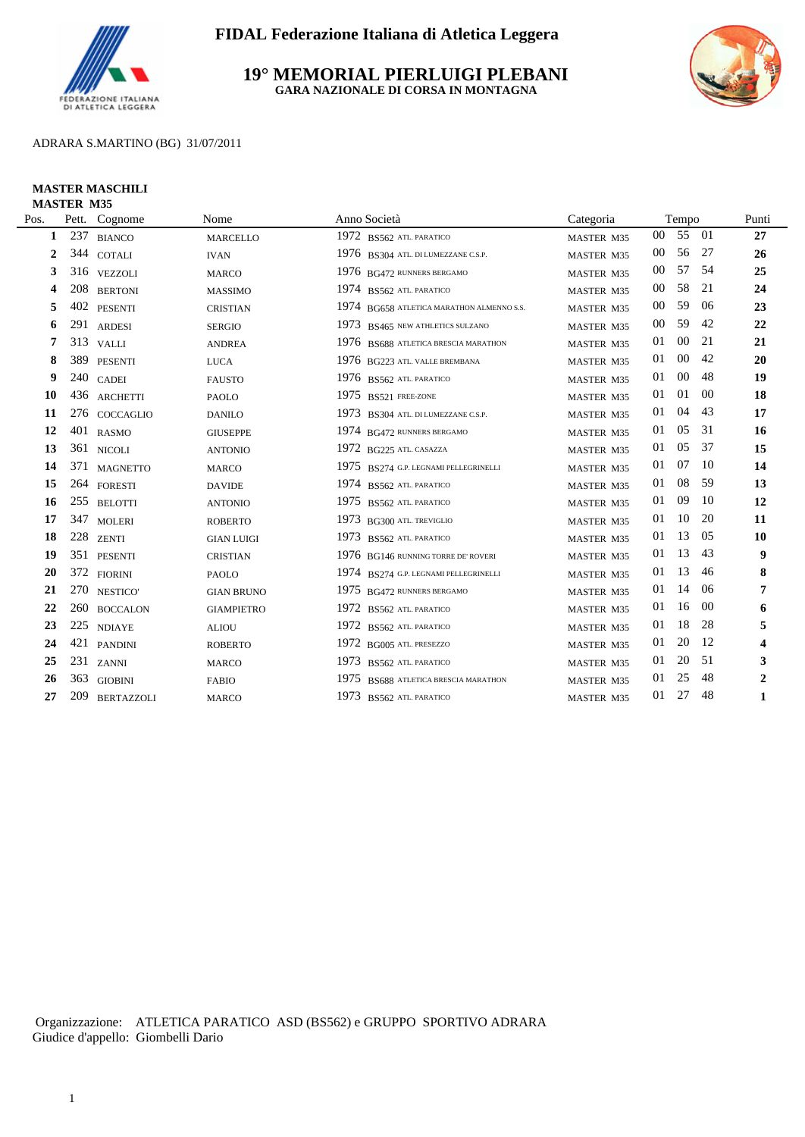

### **19° MEMORIAL PIERLUIGI PLEBANI GARA NAZIONALE DI CORSA IN MONTAGNA**



### ADRARA S.MARTINO (BG) 31/07/2011

#### **MASTER MASCHILI MASTER M35**

| Pett. |                   | Nome                                                                                                                                                                                                                                                                                                                                                                                                                | Anno Società                                   | Categoria         |                 |        |     | Punti                                                |
|-------|-------------------|---------------------------------------------------------------------------------------------------------------------------------------------------------------------------------------------------------------------------------------------------------------------------------------------------------------------------------------------------------------------------------------------------------------------|------------------------------------------------|-------------------|-----------------|--------|-----|------------------------------------------------------|
| 237   | <b>BIANCO</b>     | <b>MARCELLO</b>                                                                                                                                                                                                                                                                                                                                                                                                     | 1972 BS562 ATL. PARATICO                       | MASTER M35        | 00 <sup>°</sup> |        |     | 27                                                   |
|       |                   | <b>IVAN</b>                                                                                                                                                                                                                                                                                                                                                                                                         | 1976 BS304 ATL. DI LUMEZZANE C.S.P.            | MASTER M35        | $00\,$          | 56     |     | 26                                                   |
|       |                   | <b>MARCO</b>                                                                                                                                                                                                                                                                                                                                                                                                        | 1976 BG472 RUNNERS BERGAMO                     | MASTER M35        | $00\,$          | 57     | -54 | 25                                                   |
| 208   |                   | <b>MASSIMO</b>                                                                                                                                                                                                                                                                                                                                                                                                      | 1974 BS562 ATL PARATICO                        | MASTER M35        | $00\,$          | 58     | 21  | 24                                                   |
| 402   |                   | <b>CRISTIAN</b>                                                                                                                                                                                                                                                                                                                                                                                                     | 1974 BG658 ATLETICA MARATHON ALMENNO S.S.      | MASTER M35        | $00\,$          | 59     | 06  | 23                                                   |
|       |                   | <b>SERGIO</b>                                                                                                                                                                                                                                                                                                                                                                                                       | 1973 BS465 NEW ATHLETICS SULZANO               | <b>MASTER M35</b> | $00\,$          | 59     | 42  | 22                                                   |
| 313   |                   | <b>ANDREA</b>                                                                                                                                                                                                                                                                                                                                                                                                       | 1976 BS688 ATLETICA BRESCIA MARATHON           | MASTER M35        | 01              | $00\,$ | 21  | 21                                                   |
| 389   |                   | <b>LUCA</b>                                                                                                                                                                                                                                                                                                                                                                                                         | 1976 BG223 ATL. VALLE BREMBANA                 | <b>MASTER M35</b> | 01              | $00\,$ | 42  | 20                                                   |
|       |                   | <b>FAUSTO</b>                                                                                                                                                                                                                                                                                                                                                                                                       | 1976 BS562 ATL. PARATICO                       | MASTER M35        | 01              | $00\,$ | 48  | 19                                                   |
|       |                   | <b>PAOLO</b>                                                                                                                                                                                                                                                                                                                                                                                                        | 1975 BS521 FREE-ZONE                           | MASTER M35        | 01              | 01     | 00  | 18                                                   |
|       |                   | <b>DANILO</b>                                                                                                                                                                                                                                                                                                                                                                                                       | 1973 BS304 ATL. DI LUMEZZANE C.S.P.            | MASTER M35        | 01              | 04     | 43  | 17                                                   |
|       |                   | <b>GIUSEPPE</b>                                                                                                                                                                                                                                                                                                                                                                                                     | 1974 BG472 RUNNERS BERGAMO                     | MASTER M35        | 01              | 05     |     | 16                                                   |
| 361   |                   | <b>ANTONIO</b>                                                                                                                                                                                                                                                                                                                                                                                                      | 1972 BG225 ATL. CASAZZA                        | MASTER M35        | 01              | 05     | 37  | 15                                                   |
| 371   |                   | MARCO                                                                                                                                                                                                                                                                                                                                                                                                               | 1975 BS274 G.P. LEGNAMI PELLEGRINELLI          | MASTER M35        | 01              | 07     |     | 14                                                   |
|       |                   | <b>DAVIDE</b>                                                                                                                                                                                                                                                                                                                                                                                                       | 1974 BS562 ATL PARATICO                        | MASTER M35        | 01              | 08     | 59  | 13                                                   |
|       |                   | <b>ANTONIO</b>                                                                                                                                                                                                                                                                                                                                                                                                      | 1975<br>BS562 ATL. PARATICO                    | MASTER M35        | 01              | 09     | 10  | 12                                                   |
| 347   |                   | <b>ROBERTO</b>                                                                                                                                                                                                                                                                                                                                                                                                      | 1973 BG300 ATL. TREVIGLIO                      | MASTER M35        | 01              | 10     | 20  | 11                                                   |
|       |                   | <b>GIAN LUIGI</b>                                                                                                                                                                                                                                                                                                                                                                                                   | 1973 BS562 ATL. PARATICO                       | MASTER M35        | 01              | 13     | 05  | 10                                                   |
| 351   |                   | <b>CRISTIAN</b>                                                                                                                                                                                                                                                                                                                                                                                                     | 1976 BG146 RUNNING TORRE DE' ROVERI            | MASTER M35        | 01              | 13     | 43  | 9                                                    |
|       |                   | <b>PAOLO</b>                                                                                                                                                                                                                                                                                                                                                                                                        | 1974 BS274 G.P. LEGNAMI PELLEGRINELLI          | <b>MASTER M35</b> | 01              | 13     | 46  | 8                                                    |
|       |                   | <b>GIAN BRUNO</b>                                                                                                                                                                                                                                                                                                                                                                                                   | 1975 BG472 RUNNERS BERGAMO                     | MASTER M35        | 01              | 14     | 06  | 7                                                    |
|       |                   | <b>GIAMPIETRO</b>                                                                                                                                                                                                                                                                                                                                                                                                   | 1972 BS562 ATL. PARATICO                       | MASTER M35        | 01              | 16     |     | 6                                                    |
|       |                   | <b>ALIOU</b>                                                                                                                                                                                                                                                                                                                                                                                                        | 1972 BS562 ATL. PARATICO                       | MASTER M35        |                 |        |     | 5                                                    |
| 421   |                   | <b>ROBERTO</b>                                                                                                                                                                                                                                                                                                                                                                                                      | 1972 BG005 ATL. PRESEZZO                       | MASTER M35        | 01              | 20     | 12  | $\overline{\mathbf{4}}$                              |
|       |                   | <b>MARCO</b>                                                                                                                                                                                                                                                                                                                                                                                                        | 1973 BS562 ATL PARATICO                        | MASTER M35        | 01              | 20     |     | 3                                                    |
| 363   |                   | <b>FABIO</b>                                                                                                                                                                                                                                                                                                                                                                                                        | 1975<br><b>BS688 ATLETICA BRESCIA MARATHON</b> | MASTER M35        | 01              | 25     | 48  | $\overline{2}$                                       |
| 209   | <b>BERTAZZOLI</b> | <b>MARCO</b>                                                                                                                                                                                                                                                                                                                                                                                                        | 1973 BS562 ATL. PARATICO                       | MASTER M35        | 01              | 27     | 48  | 1                                                    |
|       |                   | Cognome<br>344 COTALI<br>316 VEZZOLI<br><b>BERTONI</b><br><b>PESENTI</b><br>291 ARDESI<br><b>VALLI</b><br><b>PESENTI</b><br>240 CADEI<br>436 ARCHETTI<br>276 COCCAGLIO<br>401 RASMO<br><b>NICOLI</b><br><b>MAGNETTO</b><br>264 FORESTI<br>255 BELOTTI<br><b>MOLERI</b><br>228 ZENTI<br><b>PESENTI</b><br>372 FIORINI<br>270 NESTICO'<br>260 BOCCALON<br>225 NDIAYE<br><b>PANDINI</b><br>231 ZANNI<br><b>GIOBINI</b> |                                                |                   |                 | 01     | 18  | Tempo<br>55 01<br>-27<br>31<br>-10<br>00<br>28<br>51 |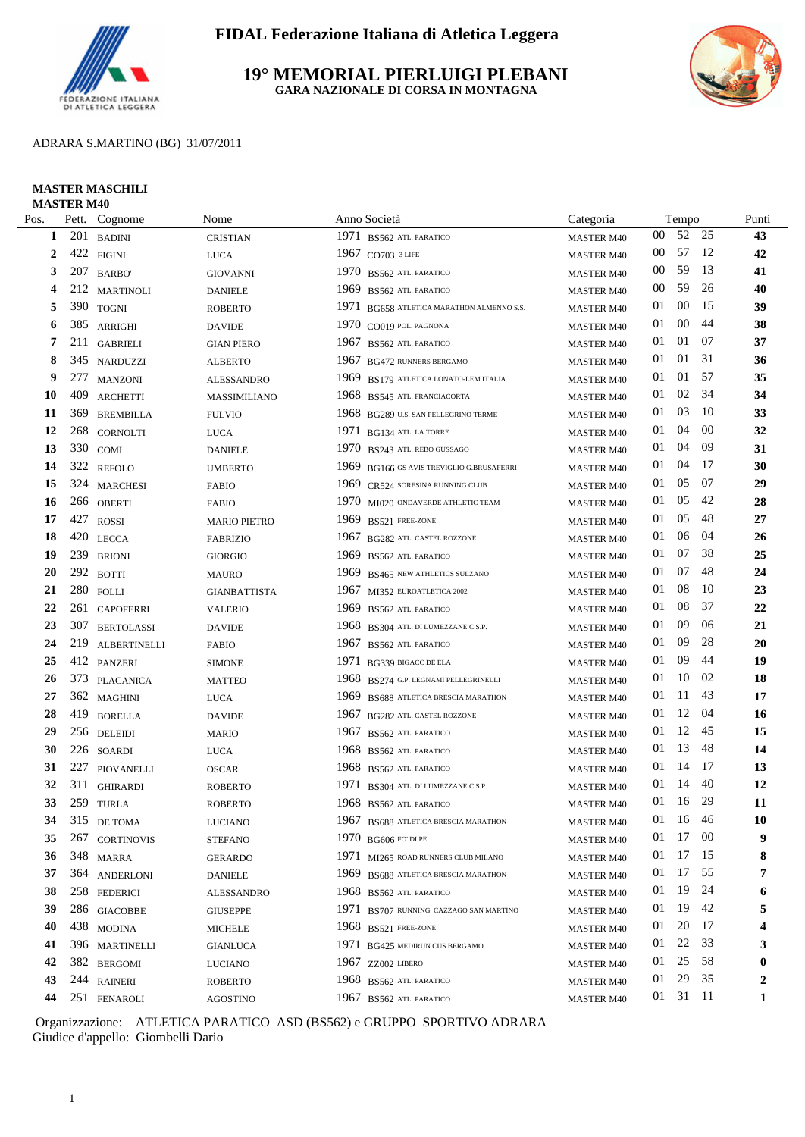

### **19° MEMORIAL PIERLUIGI PLEBANI GARA NAZIONALE DI CORSA IN MONTAGNA**



### ADRARA S.MARTINO (BG) 31/07/2011

#### **MASTER MASCHILI MASTER M40**

| Pos. | Pett. | Cognome             | Nome                                                                                                                                                                                                                                                                                                                                                                                                                               |                                      | Categoria                                                                                                                                                                                                                                                                                                                                                                                                                                                                                                                                                                                                                                                                                                                                                                 |        |        |                | Punti                                                                               |
|------|-------|---------------------|------------------------------------------------------------------------------------------------------------------------------------------------------------------------------------------------------------------------------------------------------------------------------------------------------------------------------------------------------------------------------------------------------------------------------------|--------------------------------------|---------------------------------------------------------------------------------------------------------------------------------------------------------------------------------------------------------------------------------------------------------------------------------------------------------------------------------------------------------------------------------------------------------------------------------------------------------------------------------------------------------------------------------------------------------------------------------------------------------------------------------------------------------------------------------------------------------------------------------------------------------------------------|--------|--------|----------------|-------------------------------------------------------------------------------------|
| 1    | 201   | <b>BADINI</b>       | <b>CRISTIAN</b>                                                                                                                                                                                                                                                                                                                                                                                                                    |                                      | <b>MASTER M40</b>                                                                                                                                                                                                                                                                                                                                                                                                                                                                                                                                                                                                                                                                                                                                                         | $00\,$ |        | 25             | 43                                                                                  |
| 2    |       |                     | <b>LUCA</b>                                                                                                                                                                                                                                                                                                                                                                                                                        |                                      | <b>MASTER M40</b>                                                                                                                                                                                                                                                                                                                                                                                                                                                                                                                                                                                                                                                                                                                                                         | $00\,$ | 57     |                | 42                                                                                  |
| 3    | 207   | <b>BARBO</b>        | <b>GIOVANNI</b>                                                                                                                                                                                                                                                                                                                                                                                                                    | BS562 ATL. PARATICO                  | <b>MASTER M40</b>                                                                                                                                                                                                                                                                                                                                                                                                                                                                                                                                                                                                                                                                                                                                                         | 00     | 59     | 13             | 41                                                                                  |
| 4    | 212   | <b>MARTINOLI</b>    | <b>DANIELE</b>                                                                                                                                                                                                                                                                                                                                                                                                                     | BS562 ATL. PARATICO                  | <b>MASTER M40</b>                                                                                                                                                                                                                                                                                                                                                                                                                                                                                                                                                                                                                                                                                                                                                         | 00     | 59     | 26             | 40                                                                                  |
| 5    |       |                     | <b>ROBERTO</b>                                                                                                                                                                                                                                                                                                                                                                                                                     | BG658 ATLETICA MARATHON ALMENNO S.S. | <b>MASTER M40</b>                                                                                                                                                                                                                                                                                                                                                                                                                                                                                                                                                                                                                                                                                                                                                         | 01     | $00\,$ | 15             | 39                                                                                  |
| 6    | 385   | ARRIGHI             | <b>DAVIDE</b>                                                                                                                                                                                                                                                                                                                                                                                                                      | CO019 POL. PAGNONA                   | <b>MASTER M40</b>                                                                                                                                                                                                                                                                                                                                                                                                                                                                                                                                                                                                                                                                                                                                                         | 01     | $00\,$ | 44             | 38                                                                                  |
| 7    | 211   | <b>GABRIELI</b>     | <b>GIAN PIERO</b>                                                                                                                                                                                                                                                                                                                                                                                                                  | BS562 ATL. PARATICO                  | <b>MASTER M40</b>                                                                                                                                                                                                                                                                                                                                                                                                                                                                                                                                                                                                                                                                                                                                                         | 01     | 01     | 07             | 37                                                                                  |
| 8    | 345   | NARDUZZI            | <b>ALBERTO</b>                                                                                                                                                                                                                                                                                                                                                                                                                     | BG472 RUNNERS BERGAMO                | <b>MASTER M40</b>                                                                                                                                                                                                                                                                                                                                                                                                                                                                                                                                                                                                                                                                                                                                                         | 01     | 01     | 31             | 36                                                                                  |
| 9    |       |                     | <b>ALESSANDRO</b>                                                                                                                                                                                                                                                                                                                                                                                                                  | BS179 ATLETICA LONATO-LEM ITALIA     | <b>MASTER M40</b>                                                                                                                                                                                                                                                                                                                                                                                                                                                                                                                                                                                                                                                                                                                                                         | 01     | 01     | 57             | 35                                                                                  |
| 10   | 409   | <b>ARCHETTI</b>     | MASSIMILIANO                                                                                                                                                                                                                                                                                                                                                                                                                       |                                      | <b>MASTER M40</b>                                                                                                                                                                                                                                                                                                                                                                                                                                                                                                                                                                                                                                                                                                                                                         | 01     | 02     | 34             | 34                                                                                  |
| 11   | 369   | <b>BREMBILLA</b>    | <b>FULVIO</b>                                                                                                                                                                                                                                                                                                                                                                                                                      |                                      | <b>MASTER M40</b>                                                                                                                                                                                                                                                                                                                                                                                                                                                                                                                                                                                                                                                                                                                                                         | 01     | 03     | 10             | 33                                                                                  |
| 12   | 268   | <b>CORNOLTI</b>     | <b>LUCA</b>                                                                                                                                                                                                                                                                                                                                                                                                                        |                                      | <b>MASTER M40</b>                                                                                                                                                                                                                                                                                                                                                                                                                                                                                                                                                                                                                                                                                                                                                         | 01     | 04     | 00             | 32                                                                                  |
| 13   |       |                     | <b>DANIELE</b>                                                                                                                                                                                                                                                                                                                                                                                                                     | BS243 ATL. REBO GUSSAGO              | <b>MASTER M40</b>                                                                                                                                                                                                                                                                                                                                                                                                                                                                                                                                                                                                                                                                                                                                                         | 01     | 04     | -09            | 31                                                                                  |
| 14   |       | <b>REFOLO</b>       | <b>UMBERTO</b>                                                                                                                                                                                                                                                                                                                                                                                                                     | BG166 GS AVIS TREVIGLIO G.BRUSAFERRI | <b>MASTER M40</b>                                                                                                                                                                                                                                                                                                                                                                                                                                                                                                                                                                                                                                                                                                                                                         | 01     | 04     |                | 30                                                                                  |
| 15   |       |                     | <b>FABIO</b>                                                                                                                                                                                                                                                                                                                                                                                                                       | CR524 SORESINA RUNNING CLUB          | <b>MASTER M40</b>                                                                                                                                                                                                                                                                                                                                                                                                                                                                                                                                                                                                                                                                                                                                                         | 01     | 05     | 07             | 29                                                                                  |
| 16   |       |                     | <b>FABIO</b>                                                                                                                                                                                                                                                                                                                                                                                                                       | MI020 ONDAVERDE ATHLETIC TEAM        | <b>MASTER M40</b>                                                                                                                                                                                                                                                                                                                                                                                                                                                                                                                                                                                                                                                                                                                                                         | 01     | 05     | 42             | 28                                                                                  |
| 17   | 427   | <b>ROSSI</b>        | <b>MARIO PIETRO</b>                                                                                                                                                                                                                                                                                                                                                                                                                | BS521 FREE-ZONE                      | <b>MASTER M40</b>                                                                                                                                                                                                                                                                                                                                                                                                                                                                                                                                                                                                                                                                                                                                                         | 01     | 05     | 48             | 27                                                                                  |
| 18   |       |                     | <b>FABRIZIO</b>                                                                                                                                                                                                                                                                                                                                                                                                                    | BG282 ATL. CASTEL ROZZONE            | <b>MASTER M40</b>                                                                                                                                                                                                                                                                                                                                                                                                                                                                                                                                                                                                                                                                                                                                                         | 01     | 06     | 04             | 26                                                                                  |
| 19   | 239   | <b>BRIONI</b>       | <b>GIORGIO</b>                                                                                                                                                                                                                                                                                                                                                                                                                     | BS562 ATL. PARATICO                  | <b>MASTER M40</b>                                                                                                                                                                                                                                                                                                                                                                                                                                                                                                                                                                                                                                                                                                                                                         | 01     | 07     | 38             | 25                                                                                  |
| 20   | 292   | <b>BOTTI</b>        | <b>MAURO</b>                                                                                                                                                                                                                                                                                                                                                                                                                       | BS465 NEW ATHLETICS SULZANO          | <b>MASTER M40</b>                                                                                                                                                                                                                                                                                                                                                                                                                                                                                                                                                                                                                                                                                                                                                         | 01     | 07     | 48             | 24                                                                                  |
| 21   |       |                     | <b>GIANBATTISTA</b>                                                                                                                                                                                                                                                                                                                                                                                                                | MI352 EUROATLETICA 2002              | <b>MASTER M40</b>                                                                                                                                                                                                                                                                                                                                                                                                                                                                                                                                                                                                                                                                                                                                                         | 01     | 08     | 10             | 23                                                                                  |
| 22   | 261   | <b>CAPOFERRI</b>    | <b>VALERIO</b>                                                                                                                                                                                                                                                                                                                                                                                                                     | BS562 ATL. PARATICO                  | <b>MASTER M40</b>                                                                                                                                                                                                                                                                                                                                                                                                                                                                                                                                                                                                                                                                                                                                                         | 01     | 08     | 37             | 22                                                                                  |
| 23   | 307   | <b>BERTOLASSI</b>   | <b>DAVIDE</b>                                                                                                                                                                                                                                                                                                                                                                                                                      | BS304 ATL. DI LUMEZZANE C.S.P.       | <b>MASTER M40</b>                                                                                                                                                                                                                                                                                                                                                                                                                                                                                                                                                                                                                                                                                                                                                         | 01     | 09     | 06             | 21                                                                                  |
| 24   | 219   | <b>ALBERTINELLI</b> | <b>FABIO</b>                                                                                                                                                                                                                                                                                                                                                                                                                       | BS562 ATL. PARATICO                  | <b>MASTER M40</b>                                                                                                                                                                                                                                                                                                                                                                                                                                                                                                                                                                                                                                                                                                                                                         | 01     | 09     | 28             | 20                                                                                  |
| 25   |       |                     | <b>SIMONE</b>                                                                                                                                                                                                                                                                                                                                                                                                                      | BG339 BIGACC DE ELA                  | <b>MASTER M40</b>                                                                                                                                                                                                                                                                                                                                                                                                                                                                                                                                                                                                                                                                                                                                                         | 01     | 09     | 44             | 19                                                                                  |
| 26   |       |                     | <b>MATTEO</b>                                                                                                                                                                                                                                                                                                                                                                                                                      | BS274 G.P. LEGNAMI PELLEGRINELLI     | <b>MASTER M40</b>                                                                                                                                                                                                                                                                                                                                                                                                                                                                                                                                                                                                                                                                                                                                                         | 01     | 10     | 02             | 18                                                                                  |
| 27   |       |                     | <b>LUCA</b>                                                                                                                                                                                                                                                                                                                                                                                                                        | BS688 ATLETICA BRESCIA MARATHON      | <b>MASTER M40</b>                                                                                                                                                                                                                                                                                                                                                                                                                                                                                                                                                                                                                                                                                                                                                         | 01     | 11     | 43             | 17                                                                                  |
| 28   |       | <b>BORELLA</b>      | <b>DAVIDE</b>                                                                                                                                                                                                                                                                                                                                                                                                                      | BG282 ATL. CASTEL ROZZONE            | <b>MASTER M40</b>                                                                                                                                                                                                                                                                                                                                                                                                                                                                                                                                                                                                                                                                                                                                                         | 01     | 12     | 04             | <b>16</b>                                                                           |
| 29   |       |                     | <b>MARIO</b>                                                                                                                                                                                                                                                                                                                                                                                                                       | BS562 ATL. PARATICO                  | <b>MASTER M40</b>                                                                                                                                                                                                                                                                                                                                                                                                                                                                                                                                                                                                                                                                                                                                                         | 01     | 12     | 45             | 15                                                                                  |
| 30   |       |                     | <b>LUCA</b>                                                                                                                                                                                                                                                                                                                                                                                                                        | BS562 ATL. PARATICO                  | <b>MASTER M40</b>                                                                                                                                                                                                                                                                                                                                                                                                                                                                                                                                                                                                                                                                                                                                                         | 01     | 13     | 48             | 14                                                                                  |
| 31   |       |                     | OSCAR                                                                                                                                                                                                                                                                                                                                                                                                                              | BS562 ATL. PARATICO                  | <b>MASTER M40</b>                                                                                                                                                                                                                                                                                                                                                                                                                                                                                                                                                                                                                                                                                                                                                         | 01     | 14     | 17             | 13                                                                                  |
| 32   |       |                     | <b>ROBERTO</b>                                                                                                                                                                                                                                                                                                                                                                                                                     | BS304 ATL. DI LUMEZZANE C.S.P.       | <b>MASTER M40</b>                                                                                                                                                                                                                                                                                                                                                                                                                                                                                                                                                                                                                                                                                                                                                         | 01     | 14     | 40             | 12                                                                                  |
| 33   |       |                     | <b>ROBERTO</b>                                                                                                                                                                                                                                                                                                                                                                                                                     |                                      | <b>MASTER M40</b>                                                                                                                                                                                                                                                                                                                                                                                                                                                                                                                                                                                                                                                                                                                                                         | 01     | 16     | 29             | 11                                                                                  |
| 34   |       |                     | LUCIANO                                                                                                                                                                                                                                                                                                                                                                                                                            |                                      | <b>MASTER M40</b>                                                                                                                                                                                                                                                                                                                                                                                                                                                                                                                                                                                                                                                                                                                                                         |        |        |                | ${\bf 10}$                                                                          |
| 35   |       |                     | STEFANO                                                                                                                                                                                                                                                                                                                                                                                                                            |                                      | <b>MASTER M40</b>                                                                                                                                                                                                                                                                                                                                                                                                                                                                                                                                                                                                                                                                                                                                                         | 01     |        |                | 9                                                                                   |
| 36   |       |                     | <b>GERARDO</b>                                                                                                                                                                                                                                                                                                                                                                                                                     |                                      | <b>MASTER M40</b>                                                                                                                                                                                                                                                                                                                                                                                                                                                                                                                                                                                                                                                                                                                                                         | 01     | 17     |                | 8                                                                                   |
| 37   |       |                     | <b>DANIELE</b>                                                                                                                                                                                                                                                                                                                                                                                                                     |                                      | <b>MASTER M40</b>                                                                                                                                                                                                                                                                                                                                                                                                                                                                                                                                                                                                                                                                                                                                                         | 01     | 17     | 55             | 7                                                                                   |
| 38   |       |                     | <b>ALESSANDRO</b>                                                                                                                                                                                                                                                                                                                                                                                                                  |                                      | <b>MASTER M40</b>                                                                                                                                                                                                                                                                                                                                                                                                                                                                                                                                                                                                                                                                                                                                                         | 01     | -19    | 24             | 6                                                                                   |
| 39   |       |                     | <b>GIUSEPPE</b>                                                                                                                                                                                                                                                                                                                                                                                                                    |                                      | <b>MASTER M40</b>                                                                                                                                                                                                                                                                                                                                                                                                                                                                                                                                                                                                                                                                                                                                                         | 01     | 19     | 42             | 5                                                                                   |
| 40   |       |                     | <b>MICHELE</b>                                                                                                                                                                                                                                                                                                                                                                                                                     |                                      | <b>MASTER M40</b>                                                                                                                                                                                                                                                                                                                                                                                                                                                                                                                                                                                                                                                                                                                                                         | 01     | 20     | 17             |                                                                                     |
| 41   |       |                     | <b>GIANLUCA</b>                                                                                                                                                                                                                                                                                                                                                                                                                    |                                      | <b>MASTER M40</b>                                                                                                                                                                                                                                                                                                                                                                                                                                                                                                                                                                                                                                                                                                                                                         | 01     |        |                | 3                                                                                   |
| 42   |       |                     | <b>LUCIANO</b>                                                                                                                                                                                                                                                                                                                                                                                                                     |                                      | <b>MASTER M40</b>                                                                                                                                                                                                                                                                                                                                                                                                                                                                                                                                                                                                                                                                                                                                                         | 01     |        |                | 0                                                                                   |
| 43   |       |                     | <b>ROBERTO</b>                                                                                                                                                                                                                                                                                                                                                                                                                     |                                      | <b>MASTER M40</b>                                                                                                                                                                                                                                                                                                                                                                                                                                                                                                                                                                                                                                                                                                                                                         | 01     |        |                | 2                                                                                   |
| 44   |       |                     | <b>AGOSTINO</b>                                                                                                                                                                                                                                                                                                                                                                                                                    |                                      | <b>MASTER M40</b>                                                                                                                                                                                                                                                                                                                                                                                                                                                                                                                                                                                                                                                                                                                                                         |        |        |                | $\mathbf{1}$                                                                        |
|      |       |                     | 422 FIGINI<br>390 TOGNI<br>277 MANZONI<br>330 COMI<br>322<br>324 MARCHESI<br>266 OBERTI<br>420 LECCA<br>$280$ FOLLI<br>412 PANZERI<br>373 PLACANICA<br>362 MAGHINI<br>419<br>256 DELEIDI<br>226 SOARDI<br>227 PIOVANELLI<br>311 GHIRARDI<br>259 TURLA<br>315 DE TOMA<br>267 CORTINOVIS<br>348 MARRA<br>364 ANDERLONI<br>258 FEDERICI<br>286 GIACOBBE<br>438 MODINA<br>396 MARTINELLI<br>382 BERGOMI<br>244 RAINERI<br>251 FENAROLI | 1967                                 | Anno Società<br>1971 BS562 ATL PARATICO<br>1967 CO703 3 LIFE<br>1970<br>1969<br>1971<br>1970<br>1967<br>1967<br>1969<br>1968 BS545 ATL. FRANCIACORTA<br>1968 BG289 U.S. SAN PELLEGRINO TERME<br>1971 BG134 ATL. LA TORRE<br>1970<br>1969<br>1969<br>1970<br>1969<br>1969<br>1969<br>1967<br>1969<br>1968<br>1967<br>1971<br>1968<br>1969<br>1967<br>1967<br>1968<br>1968<br>1971<br>1968 BS562 ATL. PARATICO<br>1967 BS688 ATLETICA BRESCIA MARATHON<br>1970 BG606 FO' DI PE<br>1971 MI265 ROAD RUNNERS CLUB MILANO<br>1969 BS688 ATLETICA BRESCIA MARATHON<br>1968 BS562 ATL PARATICO<br>1971 BS707 RUNNING CAZZAGO SAN MARTINO<br>1968 BS521 FREE-ZONE<br>1971 BG425 MEDIRUN CUS BERGAMO<br>1967 $ZZ002$ LIBERO<br>1968 BS562 ATL. PARATICO<br>1967 BS562 ATL. PARATICO |        |        | 22<br>25<br>29 | Tempo<br>52<br>-12<br>-17<br>01 16 46<br>17 00<br>-15<br>33<br>58<br>35<br>01 31 11 |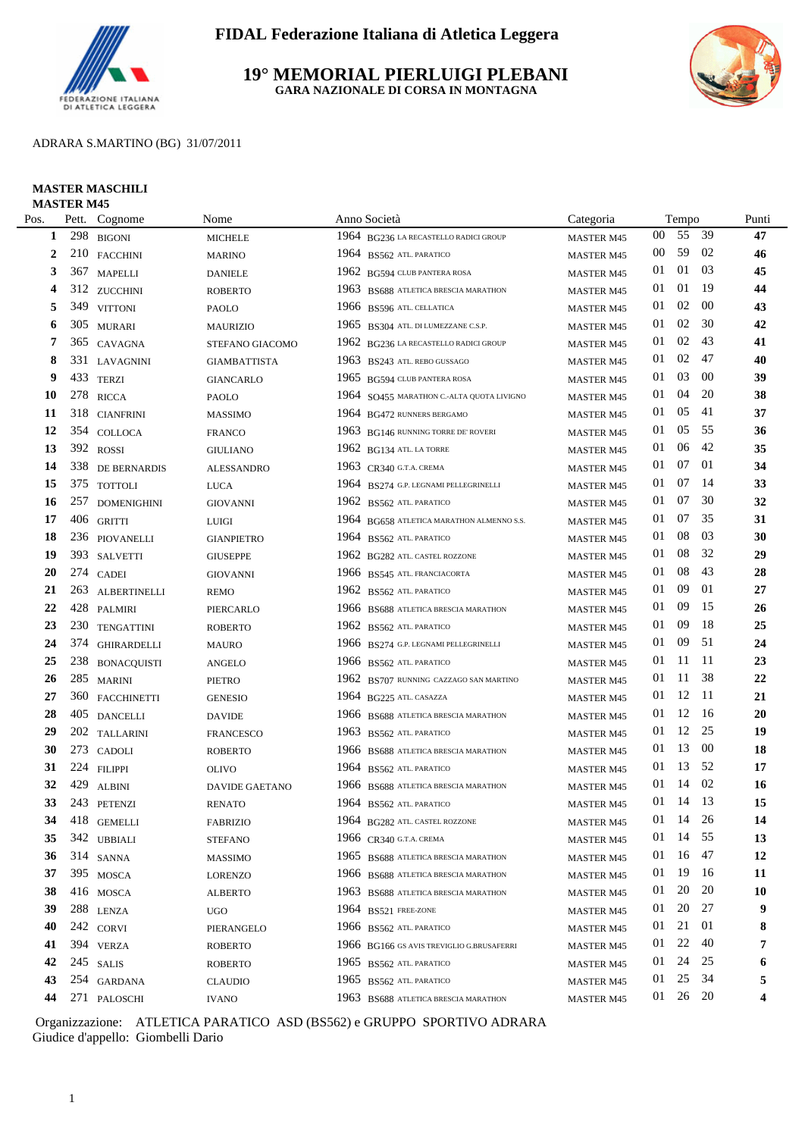

**19° MEMORIAL PIERLUIGI PLEBANI GARA NAZIONALE DI CORSA IN MONTAGNA**



ADRARA S.MARTINO (BG) 31/07/2011

### **MASTER MASCHILI MASTER M45**

| Pos.                     |     | Pett. Cognome    | Nome                  | Anno Società |                                           | Categoria         | Tempo  |          |        | Punti     |
|--------------------------|-----|------------------|-----------------------|--------------|-------------------------------------------|-------------------|--------|----------|--------|-----------|
| 1                        | 298 | <b>BIGONI</b>    | <b>MICHELE</b>        |              | 1964 BG236 LA RECASTELLO RADICI GROUP     | <b>MASTER M45</b> | 00     | 55 39    |        | 47        |
| 2                        |     | 210 FACCHINI     | <b>MARINO</b>         |              | 1964 BS562 ATL PARATICO                   | <b>MASTER M45</b> | $00\,$ | 59       | 02     | 46        |
| 3                        |     | 367 MAPELLI      | <b>DANIELE</b>        |              | 1962 BG594 CLUB PANTERA ROSA              | <b>MASTER M45</b> | 01     | 01       | 03     | 45        |
| $\overline{\mathcal{L}}$ |     | 312 ZUCCHINI     | <b>ROBERTO</b>        | 1963         | BS688 ATLETICA BRESCIA MARATHON           | <b>MASTER M45</b> | 01     | 01       | -19    | 44        |
| 5                        |     | 349 VITTONI      | PAOLO                 |              | 1966 BS596 ATL CELLATICA                  | <b>MASTER M45</b> | 01     | 02       | $00\,$ | 43        |
| 6                        |     | 305 MURARI       | <b>MAURIZIO</b>       | 1965         | BS304 ATL. DI LUMEZZANE C.S.P.            | <b>MASTER M45</b> | 01     | 02       | 30     | 42        |
| 7                        |     | 365 CAVAGNA      | STEFANO GIACOMO       |              | 1962 BG236 LA RECASTELLO RADICI GROUP     | <b>MASTER M45</b> | 01     | 02       | 43     | 41        |
| 8                        |     | 331 LAVAGNINI    | <b>GIAMBATTISTA</b>   |              | 1963 BS243 ATL. REBO GUSSAGO              | <b>MASTER M45</b> | 01     | 02       | 47     | 40        |
| 9                        |     | 433 TERZI        | <b>GIANCARLO</b>      |              | 1965 BG594 CLUB PANTERA ROSA              | <b>MASTER M45</b> | 01     | 03       | -00    | 39        |
| 10                       |     | 278 RICCA        | PAOLO                 |              | 1964 SO455 MARATHON C.-ALTA QUOTA LIVIGNO | <b>MASTER M45</b> | 01     | 04       | 20     | 38        |
| 11                       |     | 318 CIANFRINI    | <b>MASSIMO</b>        |              | 1964 BG472 RUNNERS BERGAMO                | <b>MASTER M45</b> | 01     | 05       | -41    | 37        |
| 12                       |     | 354 COLLOCA      | <b>FRANCO</b>         |              | 1963 BG146 RUNNING TORRE DE' ROVERI       | <b>MASTER M45</b> | 01     | 05       | -55    | 36        |
| 13                       |     | 392 ROSSI        | <b>GIULIANO</b>       |              | 1962 BG134 ATL. LA TORRE                  | <b>MASTER M45</b> | 01     | 06       | 42     | 35        |
| 14                       |     | 338 DE BERNARDIS | <b>ALESSANDRO</b>     |              | 1963 CR340 G.T.A. CREMA                   | <b>MASTER M45</b> | 01     | 07       | 01     | 34        |
| 15                       |     | 375 TOTTOLI      | <b>LUCA</b>           |              | 1964 BS274 G.P. LEGNAMI PELLEGRINELLI     | <b>MASTER M45</b> | 01     | 07       | -14    | 33        |
| 16                       |     | 257 DOMENIGHINI  | <b>GIOVANNI</b>       |              | 1962 BS562 ATL PARATICO                   | <b>MASTER M45</b> | 01     | 07       | 30     | 32        |
| 17                       |     | 406 GRITTI       | <b>LUIGI</b>          |              | 1964 BG658 ATLETICA MARATHON ALMENNO S.S. | <b>MASTER M45</b> | 01     | 07       | 35     | 31        |
| 18                       |     | 236 PIOVANELLI   | <b>GIANPIETRO</b>     |              | 1964 BS562 ATL PARATICO                   | <b>MASTER M45</b> | 01     | 08       | 03     | 30        |
| 19                       |     | 393 SALVETTI     | <b>GIUSEPPE</b>       |              | 1962 BG282 ATL. CASTEL ROZZONE            | <b>MASTER M45</b> | 01     | 08       | 32     | 29        |
| 20                       |     | 274 CADEI        | <b>GIOVANNI</b>       |              | 1966 BS545 ATL. FRANCIACORTA              | <b>MASTER M45</b> | 01     | 08       | 43     | 28        |
| 21                       |     | 263 ALBERTINELLI | <b>REMO</b>           |              | 1962 BS562 ATL PARATICO                   | <b>MASTER M45</b> | 01     | 09       | 01     | 27        |
| 22                       |     | 428 PALMIRI      | PIERCARLO             |              | 1966 BS688 ATLETICA BRESCIA MARATHON      | <b>MASTER M45</b> | 01     | 09       | 15     | 26        |
| 23                       |     | 230 TENGATTINI   | <b>ROBERTO</b>        | 1962         | BS562 ATL PARATICO                        | <b>MASTER M45</b> | 01     | 09       | 18     | 25        |
| 24                       |     | 374 GHIRARDELLI  | <b>MAURO</b>          |              | 1966 BS274 G.P. LEGNAMI PELLEGRINELLI     | <b>MASTER M45</b> | 01     | 09       | -51    | 24        |
| 25                       |     | 238 BONACQUISTI  | <b>ANGELO</b>         |              | 1966 BS562 ATL PARATICO                   | <b>MASTER M45</b> | 01     | 11       | -11    | 23        |
| 26                       |     | 285 MARINI       | <b>PIETRO</b>         |              | 1962 BS707 RUNNING CAZZAGO SAN MARTINO    | <b>MASTER M45</b> | 01     | 11       | -38    | $22\,$    |
| 27                       |     | 360 FACCHINETTI  | <b>GENESIO</b>        |              | 1964 BG225 ATL. CASAZZA                   | <b>MASTER M45</b> | 01     | 12       | -11    | 21        |
| 28                       |     | 405 DANCELLI     | <b>DAVIDE</b>         |              | 1966 BS688 ATLETICA BRESCIA MARATHON      | <b>MASTER M45</b> | 01     | 12       | - 16   | 20        |
| 29                       |     | 202 TALLARINI    | <b>FRANCESCO</b>      |              | 1963 BS562 ATL. PARATICO                  | <b>MASTER M45</b> | 01     | 12       | 25     | 19        |
| 30                       |     | 273 CADOLI       | <b>ROBERTO</b>        |              | 1966 BS688 ATLETICA BRESCIA MARATHON      | <b>MASTER M45</b> | 01     | 13       | 00     | 18        |
| 31                       |     | 224 FILIPPI      | <b>OLIVO</b>          |              | 1964 BS562 ATL PARATICO                   | <b>MASTER M45</b> | 01     | 13       | -52    | 17        |
| 32                       |     | 429 ALBINI       | <b>DAVIDE GAETANO</b> |              | 1966 BS688 ATLETICA BRESCIA MARATHON      | <b>MASTER M45</b> | 01     | 14       | 02     | 16        |
| 33                       |     | 243 PETENZI      | <b>RENATO</b>         |              | 1964 BS562 ATL. PARATICO                  | <b>MASTER M45</b> | 01     | 14 13    |        | 15        |
| 34                       |     | 418 GEMELLI      | FABRIZIO              |              | 1964 BG282 ATL. CASTEL ROZZONE            | <b>MASTER M45</b> |        | 01 14 26 |        | 14        |
| 35                       |     | 342 UBBIALI      | <b>STEFANO</b>        |              | 1966 CR340 G.T.A. CREMA                   | <b>MASTER M45</b> | 01     | 14       | -55    | 13        |
| 36                       |     | 314 SANNA        | <b>MASSIMO</b>        |              | 1965 BS688 ATLETICA BRESCIA MARATHON      | <b>MASTER M45</b> | 01     | 16       | -47    | 12        |
| 37                       |     | 395 MOSCA        | <b>LORENZO</b>        |              | 1966 BS688 ATLETICA BRESCIA MARATHON      | <b>MASTER M45</b> | 01     | 19       | -16    | 11        |
| 38                       |     | 416 MOSCA        | <b>ALBERTO</b>        |              | 1963 BS688 ATLETICA BRESCIA MARATHON      | <b>MASTER M45</b> | 01     | 20       | 20     | <b>10</b> |
| 39                       |     | 288 LENZA        | <b>UGO</b>            |              | 1964 BS521 FREE-ZONE                      | <b>MASTER M45</b> | 01     | 20       | 27     | 9         |
| 40                       |     | 242 CORVI        | PIERANGELO            |              | 1966 BS562 ATL PARATICO                   | <b>MASTER M45</b> | 01     | 21       | 01     | 8         |
| 41                       |     | 394 VERZA        | <b>ROBERTO</b>        |              | 1966 BG166 GS AVIS TREVIGLIO G.BRUSAFERRI | <b>MASTER M45</b> | 01     | 22       | 40     | 7         |
| 42                       |     | 245 SALIS        | <b>ROBERTO</b>        |              | 1965 BS562 ATL. PARATICO                  | <b>MASTER M45</b> | 01     | 24       | 25     | 6         |
| 43                       |     | 254 GARDANA      | <b>CLAUDIO</b>        |              | 1965 BS562 ATL. PARATICO                  | <b>MASTER M45</b> | 01     | 25       | 34     | 5         |
| 44                       |     | 271 PALOSCHI     | <b>IVANO</b>          |              | 1963 BS688 ATLETICA BRESCIA MARATHON      | MASTER M45        |        | 01 26 20 |        | 4         |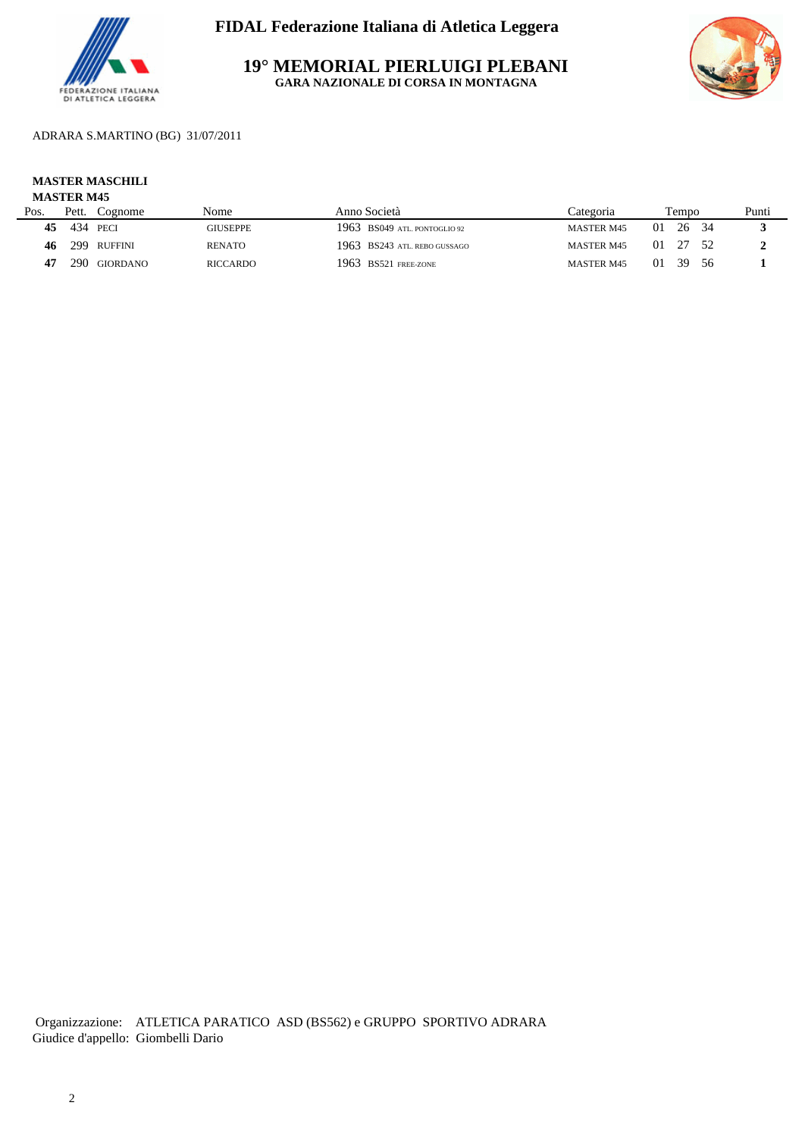

**19° MEMORIAL PIERLUIGI PLEBANI GARA NAZIONALE DI CORSA IN MONTAGNA**



ADRARA S.MARTINO (BG) 31/07/2011

# **MASTER MASCHILI**

## **MASTER M45**

| Pos. | Pett. | Cognome      | Nome            | Anno Società                   |                   | Tempo      |       | Punti |
|------|-------|--------------|-----------------|--------------------------------|-------------------|------------|-------|-------|
| 45   |       | 434 PECI     | GIUSEPPE        | $1963$ BS049 atl. pontoglio 92 | <b>MASTER M45</b> | 01<br>26   |       |       |
| 46   |       | 299 RUFFINI  | <b>RENATO</b>   | 1963 BS243 ATL. REBO GUSSAGO   | <b>MASTER M45</b> | 01         | 27 52 |       |
|      |       | 290 GIORDANO | <b>RICCARDO</b> | 1963 BS521 FREE-ZONE           | <b>MASTER M45</b> | - 39<br>01 | - 56  |       |
|      |       |              |                 |                                |                   |            |       |       |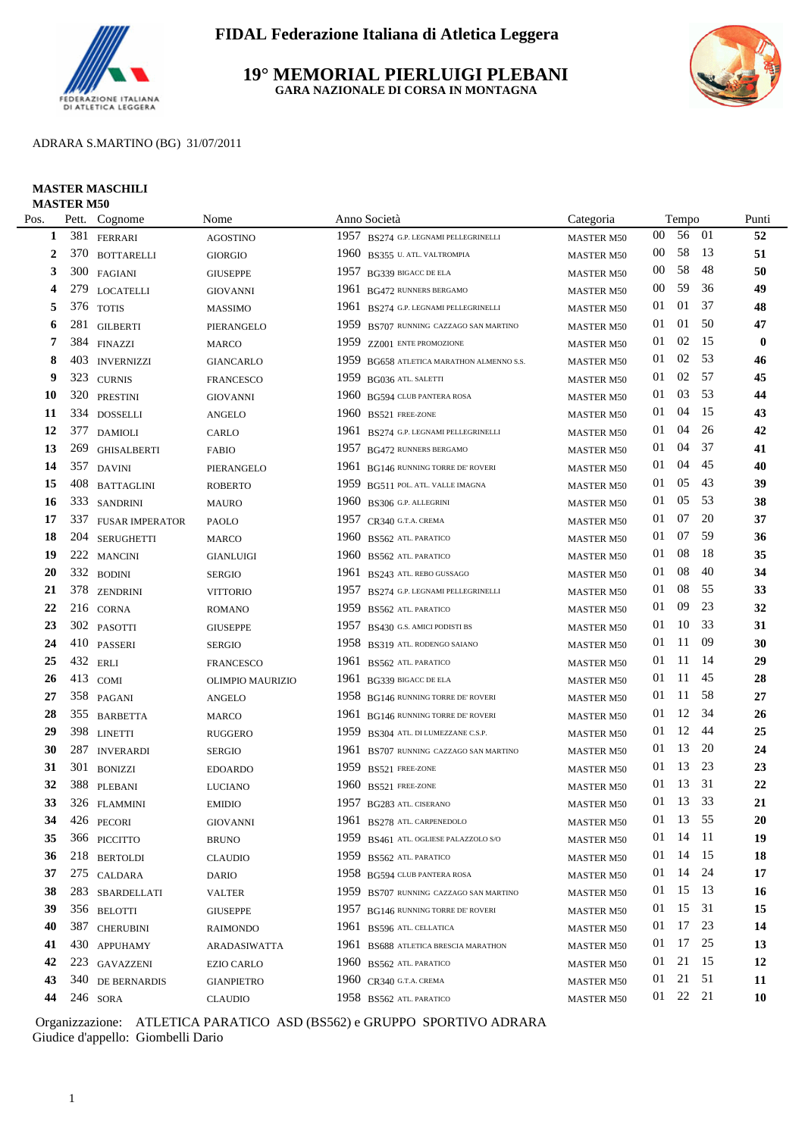

### **19° MEMORIAL PIERLUIGI PLEBANI GARA NAZIONALE DI CORSA IN MONTAGNA**



#### ADRARA S.MARTINO (BG) 31/07/2011

#### **MASTER MASCHILI MASTER M50**

| Pos. |     | Pett. Cognome          | Nome              |      | Anno Società                           | Categoria                |        | Tempo    |     | Punti     |
|------|-----|------------------------|-------------------|------|----------------------------------------|--------------------------|--------|----------|-----|-----------|
| 1    | 381 | <b>FERRARI</b>         | <b>AGOSTINO</b>   | 1957 | BS274 G.P. LEGNAMI PELLEGRINELLI       | <b>MASTER M50</b>        | $00\,$ | 56       | -01 | 52        |
| 2    |     | 370 BOTTARELLI         | <b>GIORGIO</b>    | 1960 | BS355 U. ATL. VALTROMPIA               | <b>MASTER M50</b>        | $00\,$ | 58       | -13 | 51        |
| 3    | 300 | FAGIANI                | <b>GIUSEPPE</b>   | 1957 | BG339 BIGACC DE ELA                    | <b>MASTER M50</b>        | 00     | 58       | 48  | 50        |
| 4    |     | 279 LOCATELLI          | <b>GIOVANNI</b>   |      | 1961 BG472 RUNNERS BERGAMO             | <b>MASTER M50</b>        | $00\,$ | 59       | 36  | 49        |
| 5    |     | 376 TOTIS              | <b>MASSIMO</b>    | 1961 | BS274 G.P. LEGNAMI PELLEGRINELLI       | <b>MASTER M50</b>        | 01     | 01       | 37  | 48        |
| 6    | 281 | <b>GILBERTI</b>        | PIERANGELO        | 1959 | BS707 RUNNING CAZZAGO SAN MARTINO      | <b>MASTER M50</b>        | 01     | 01       | 50  | 47        |
| 7    |     | 384 FINAZZI            | <b>MARCO</b>      | 1959 | ZZ001 ENTE PROMOZIONE                  | <b>MASTER M50</b>        | 01     | 02       | 15  | $\bf{0}$  |
| 8    | 403 | <b>INVERNIZZI</b>      | <b>GIANCARLO</b>  | 1959 | BG658 ATLETICA MARATHON ALMENNO S.S.   | <b>MASTER M50</b>        | 01     | 02       | 53  | 46        |
| 9    |     | 323 CURNIS             | <b>FRANCESCO</b>  |      | 1959 BG036 ATL. SALETTI                | <b>MASTER M50</b>        | 01     | 02       | 57  | 45        |
| 10   |     | 320 PRESTINI           | <b>GIOVANNI</b>   |      | 1960 BG594 CLUB PANTERA ROSA           | <b>MASTER M50</b>        | 01     | 03       | 53  | 44        |
| 11   |     | 334 DOSSELLI           | <b>ANGELO</b>     | 1960 | <b>BS521 FREE-ZONE</b>                 | <b>MASTER M50</b>        | 01     | 04       | 15  | 43        |
| 12   |     | 377 DAMIOLI            | CARLO             | 1961 | BS274 G.P. LEGNAMI PELLEGRINELLI       | <b>MASTER M50</b>        | 01     | 04       | 26  | 42        |
| 13   | 269 | <b>GHISALBERTI</b>     | <b>FABIO</b>      | 1957 | <b>BG472 RUNNERS BERGAMO</b>           | <b>MASTER M50</b>        | 01     | 04       | 37  | 41        |
| 14   | 357 | <b>DAVINI</b>          | PIERANGELO        | 1961 | BG146 RUNNING TORRE DE' ROVERI         | <b>MASTER M50</b>        | 01     | 04       | 45  | 40        |
| 15   | 408 | <b>BATTAGLINI</b>      | <b>ROBERTO</b>    | 1959 | BG511 POL. ATL. VALLE IMAGNA           | <b>MASTER M50</b>        | 01     | 05       | 43  | 39        |
| 16   |     | 333 SANDRINI           | <b>MAURO</b>      | 1960 | BS306 G.P. ALLEGRINI                   | <b>MASTER M50</b>        | 01     | 05       | 53  | 38        |
| 17   | 337 | <b>FUSAR IMPERATOR</b> | PAOLO             |      | 1957 CR340 G.T.A. CREMA                | <b>MASTER M50</b>        | 01     | 07       | 20  | 37        |
| 18   | 204 | <b>SERUGHETTI</b>      | <b>MARCO</b>      | 1960 | BS562 ATL PARATICO                     | <b>MASTER M50</b>        | 01     | 07       | 59  | 36        |
| 19   |     | 222 MANCINI            | <b>GIANLUIGI</b>  | 1960 | BS562 ATL PARATICO                     | <b>MASTER M50</b>        | 01     | 08       | -18 | 35        |
| 20   |     | 332 BODINI             | <b>SERGIO</b>     | 1961 | BS243 ATL. REBO GUSSAGO                | <b>MASTER M50</b>        | 01     | 08       | 40  | 34        |
| 21   |     | 378 ZENDRINI           | <b>VITTORIO</b>   | 1957 | BS274 G.P. LEGNAMI PELLEGRINELLI       | <b>MASTER M50</b>        | 01     | 08       | 55  | 33        |
| 22   |     | 216 CORNA              | ROMANO            | 1959 | BS562 ATL. PARATICO                    | <b>MASTER M50</b>        | 01     | 09       | 23  | 32        |
| 23   |     | 302 PASOTTI            | <b>GIUSEPPE</b>   | 1957 | BS430 G.S. AMICI PODISTI BS            | <b>MASTER M50</b>        | 01     | 10       | 33  | 31        |
| 24   |     | 410 PASSERI            | <b>SERGIO</b>     | 1958 | BS319 ATL. RODENGO SAIANO              | <b>MASTER M50</b>        | 01     | 11       | -09 | 30        |
| 25   |     | 432 ERLI               | <b>FRANCESCO</b>  | 1961 | <b>BS562 ATL. PARATICO</b>             | <b>MASTER M50</b>        | 01     | 11       | -14 | 29        |
| 26   |     | 413 COMI               | OLIMPIO MAURIZIO  |      | 1961 BG339 BIGACC DE ELA               | <b>MASTER M50</b>        | 01     | 11       | 45  | 28        |
| 27   |     | 358 PAGANI             | <b>ANGELO</b>     |      | 1958 BG146 RUNNING TORRE DE' ROVERI    | <b>MASTER M50</b>        | 01     | -11      | 58  | 27        |
| 28   |     | 355 BARBETTA           | <b>MARCO</b>      |      | 1961 BG146 RUNNING TORRE DE' ROVERI    | <b>MASTER M50</b>        | 01     | 12       | 34  | 26        |
| 29   |     | 398 LINETTI            | <b>RUGGERO</b>    |      | 1959 BS304 ATL. DI LUMEZZANE C.S.P.    | <b>MASTER M50</b>        | 01     | 12       | 44  | 25        |
| 30   | 287 | <b>INVERARDI</b>       | <b>SERGIO</b>     | 1961 | BS707 RUNNING CAZZAGO SAN MARTINO      | <b>MASTER M50</b>        | 01     | 13       | 20  | 24        |
| 31   | 301 | <b>BONIZZI</b>         | <b>EDOARDO</b>    | 1959 | BS521 FREE-ZONE                        | <b>MASTER M50</b>        | 01     | 13       | 23  | 23        |
| 32   |     | 388 PLEBANI            | <b>LUCIANO</b>    |      | 1960 BS521 FREE-ZONE                   | <b>MASTER M50</b>        | 01     | 13       | 31  | 22        |
| 33   |     | 326 FLAMMINI           | <b>EMIDIO</b>     |      | 1957 BG283 ATL. CISERANO               | <b>MASTER M50</b>        | 01     | 13       | 33  | 21        |
| 34   |     | 426 PECORI             | <b>GIOVANNI</b>   |      | 1961 BS278 ATL. CARPENEDOLO            | $\rm{MASTER}$ $\rm{M50}$ |        | 01 13 55 |     | 20        |
| 35   |     | 366 PICCITTO           | BRUNO             |      | 1959 BS461 ATL. OGLIESE PALAZZOLO S/O  | <b>MASTER M50</b>        | 01     | 14 11    |     | 19        |
| 36   |     | 218 BERTOLDI           | <b>CLAUDIO</b>    |      | 1959 BS562 ATL PARATICO                | <b>MASTER M50</b>        | 01     | 14       | 15  | 18        |
| 37   |     | 275 CALDARA            | DARIO             |      | 1958 BG594 CLUB PANTERA ROSA           | <b>MASTER M50</b>        | 01     | 14 24    |     | 17        |
| 38   |     | 283 SBARDELLATI        | <b>VALTER</b>     |      | 1959 BS707 RUNNING CAZZAGO SAN MARTINO | <b>MASTER M50</b>        | 01     | 15 13    |     | 16        |
| 39   |     | 356 BELOTTI            | <b>GIUSEPPE</b>   |      | 1957 BG146 RUNNING TORRE DE' ROVERI    | <b>MASTER M50</b>        | 01     | 15 31    |     | 15        |
| 40   | 387 | <b>CHERUBINI</b>       | <b>RAIMONDO</b>   |      | 1961 BS596 ATL CELLATICA               | <b>MASTER M50</b>        | 01     | 17       | 23  | 14        |
| 41   |     | 430 APPUHAMY           | ARADASIWATTA      |      | 1961 BS688 ATLETICA BRESCIA MARATHON   | <b>MASTER M50</b>        | 01     | 17       | 25  | 13        |
| 42   |     | 223 GAVAZZENI          | <b>EZIO CARLO</b> |      | 1960 BS562 ATL. PARATICO               | <b>MASTER M50</b>        | 01     | 21       | 15  | 12        |
| 43   |     | 340 DE BERNARDIS       | <b>GIANPIETRO</b> |      | 1960 CR340 G.T.A. CREMA                | <b>MASTER M50</b>        | 01     | 21       | 51  | <b>11</b> |
| 44   |     | 246 SORA               | <b>CLAUDIO</b>    |      | 1958 BS562 ATL. PARATICO               | <b>MASTER M50</b>        |        | 01 22 21 |     | <b>10</b> |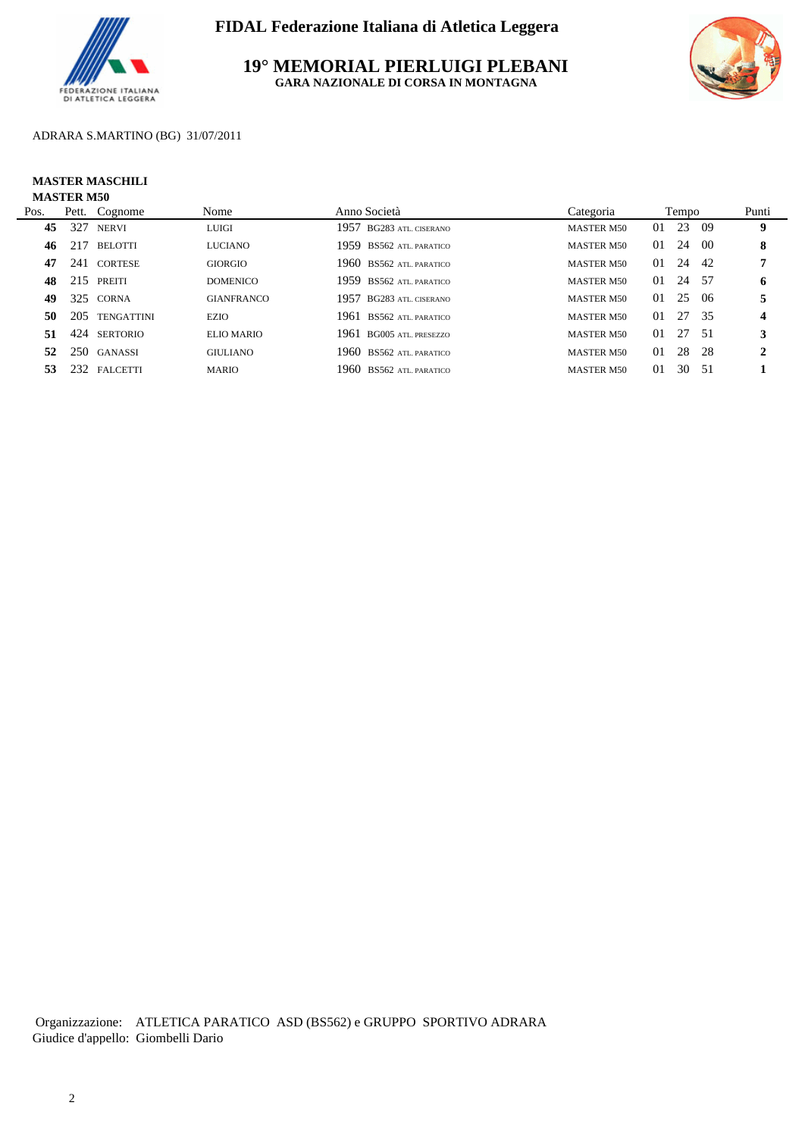

**19° MEMORIAL PIERLUIGI PLEBANI GARA NAZIONALE DI CORSA IN MONTAGNA**



## ADRARA S.MARTINO (BG) 31/07/2011

#### **MASTER MASCHILI MASTER M50**

| Pos. |     | Pett. Cognome     | Nome              | Anno Società                | Categoria         |    | Tempo |      | Punti            |
|------|-----|-------------------|-------------------|-----------------------------|-------------------|----|-------|------|------------------|
| 45   | 327 | <b>NERVI</b>      | <b>LUIGI</b>      | 1957 BG283 ATL CISERANO     | <b>MASTER M50</b> | 01 | 23    | - 09 | 9                |
| 46   | 217 | <b>BELOTTI</b>    | <b>LUCIANO</b>    | 1959 BS562 ATL PARATICO     | <b>MASTER M50</b> | 01 | -24   | - 00 | 8                |
| 47   |     | 241 CORTESE       | <b>GIORGIO</b>    | 1960 BS562 ATL. PARATICO    | <b>MASTER M50</b> | 01 | 24    | -42  | 7                |
| 48   | 215 | PREITI            | <b>DOMENICO</b>   | 1959 BS562 ATL PARATICO     | <b>MASTER M50</b> | 01 | 24    | - 57 | 6                |
| 49   |     | 325 CORNA         | <b>GIANFRANCO</b> | 1957<br>BG283 ATL, CISERANO | <b>MASTER M50</b> | 01 | 25    | -06  | 5                |
| 50   | 205 | <b>TENGATTINI</b> | <b>EZIO</b>       | 1961<br>BS562 ATL PARATICO  | <b>MASTER M50</b> | 01 | 27 35 |      | $\boldsymbol{4}$ |
| 51   |     | 424 SERTORIO      | <b>ELIO MARIO</b> | 1961 BG005 ATL PRESEZZO     | <b>MASTER M50</b> | 01 | 27 51 |      | 3                |
| 52   |     | 250 GANASSI       | <b>GIULIANO</b>   | 1960 BS562 ATL PARATICO     | <b>MASTER M50</b> | 01 | 28    | -28  | 2                |
| 53.  |     | 232 FALCETTI      | <b>MARIO</b>      | 1960 BS562 ATL PARATICO     | <b>MASTER M50</b> | 01 | 30    | - 51 |                  |
|      |     |                   |                   |                             |                   |    |       |      |                  |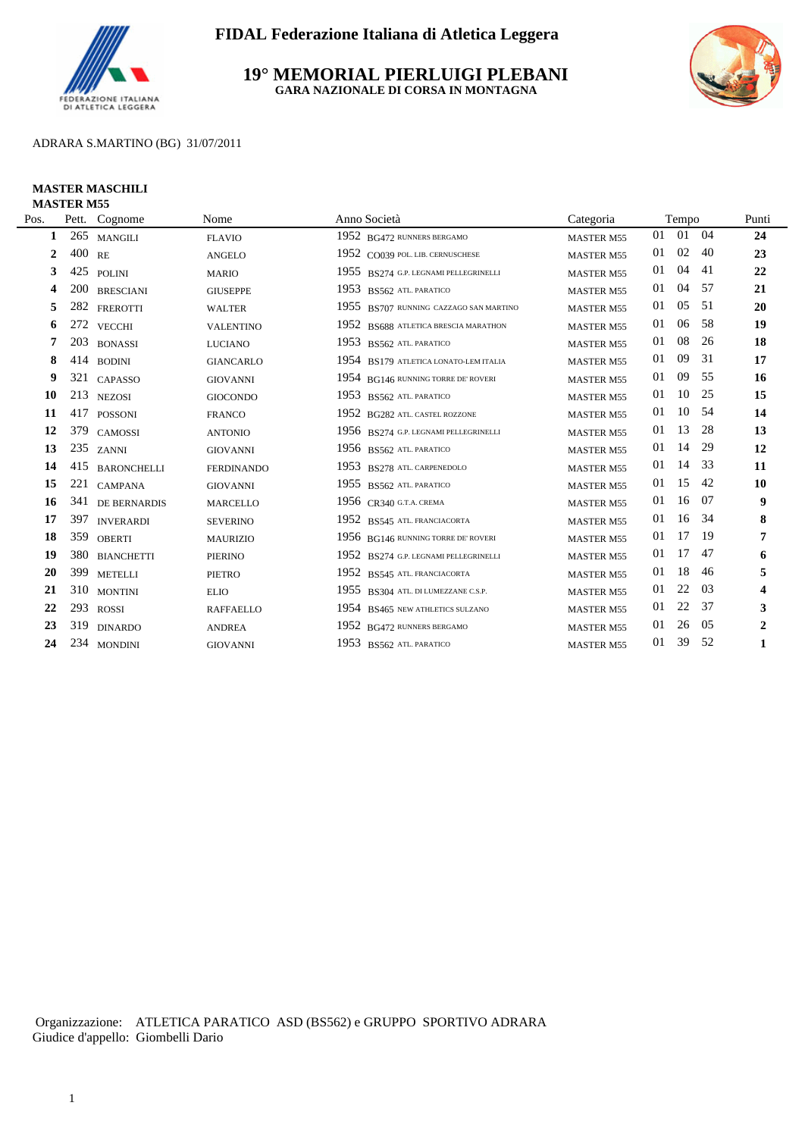

**19° MEMORIAL PIERLUIGI PLEBANI GARA NAZIONALE DI CORSA IN MONTAGNA**



### ADRARA S.MARTINO (BG) 31/07/2011

#### **MASTER MASCHILI MASTER M55**

| Pos.           | Pett.  | Cognome            | Nome              | Anno Società                           | Categoria         |    | Tempo |      | Punti                   |
|----------------|--------|--------------------|-------------------|----------------------------------------|-------------------|----|-------|------|-------------------------|
| 1              | 265    | <b>MANGILI</b>     | <b>FLAVIO</b>     | 1952 BG472 RUNNERS BERGAMO             | <b>MASTER M55</b> | 01 | 01    | 04   | 24                      |
| $\overline{2}$ | 400 RE |                    | <b>ANGELO</b>     | 1952 CO039 POL. LIB. CERNUSCHESE       | <b>MASTER M55</b> | 01 | 02    | 40   | 23                      |
| 3              | 425    | <b>POLINI</b>      | <b>MARIO</b>      | 1955 BS274 G.P. LEGNAMI PELLEGRINELLI  | <b>MASTER M55</b> | 01 | 04    | 41   | 22                      |
| 4              | 200    | <b>BRESCIANI</b>   | <b>GIUSEPPE</b>   | 1953 BS562 ATL PARATICO                | <b>MASTER M55</b> | 01 | 04    | 57   | 21                      |
| 5              | 282    | <b>FREROTTI</b>    | <b>WALTER</b>     | 1955 BS707 RUNNING CAZZAGO SAN MARTINO | <b>MASTER M55</b> | 01 | 05    | 51   | 20                      |
| 6              |        | 272 VECCHI         | <b>VALENTINO</b>  | 1952 BS688 ATLETICA BRESCIA MARATHON   | <b>MASTER M55</b> | 01 | 06    | 58   | 19                      |
| 7              | 203    | <b>BONASSI</b>     | <b>LUCIANO</b>    | 1953<br>BS562 ATL PARATICO             | <b>MASTER M55</b> | 01 | 08    | 26   | 18                      |
| 8              |        | 414 BODINI         | <b>GIANCARLO</b>  | 1954 BS179 ATLETICA LONATO-LEM ITALIA  | <b>MASTER M55</b> | 01 | 09    | 31   | 17                      |
| 9              |        | 321 CAPASSO        | <b>GIOVANNI</b>   | 1954 BG146 RUNNING TORRE DE' ROVERI    | <b>MASTER M55</b> | 01 | 09    | 55   | 16                      |
| 10             |        | 213 NEZOSI         | <b>GIOCONDO</b>   | 1953 BS562 ATL. PARATICO               | <b>MASTER M55</b> | 01 | 10    | 25   | 15                      |
| 11             | 417    | <b>POSSONI</b>     | <b>FRANCO</b>     | 1952 BG282 ATL. CASTEL ROZZONE         | <b>MASTER M55</b> | 01 | 10    | -54  | 14                      |
| 12             |        | 379 CAMOSSI        | <b>ANTONIO</b>    | 1956 BS274 G.P. LEGNAMI PELLEGRINELLI  | <b>MASTER M55</b> | 01 | 13    | 28   | 13                      |
| 13             |        | 235 ZANNI          | <b>GIOVANNI</b>   | 1956 BS562 ATL. PARATICO               | <b>MASTER M55</b> | 01 | 14    | 29   | 12                      |
| 14             | 415    | <b>BARONCHELLI</b> | <b>FERDINANDO</b> | 1953 BS278 ATL. CARPENEDOLO            | <b>MASTER M55</b> | 01 | 14    | 33   | 11                      |
| 15             | 221    | <b>CAMPANA</b>     | <b>GIOVANNI</b>   | 1955 BS562 ATL PARATICO                | <b>MASTER M55</b> | 01 | 15    | 42   | 10                      |
| 16             |        | 341 DE BERNARDIS   | <b>MARCELLO</b>   | 1956 CR340 G.T.A. CREMA                | <b>MASTER M55</b> | 01 | 16    | 07   | 9                       |
| 17             | 397    | <b>INVERARDI</b>   | <b>SEVERINO</b>   | 1952 BS545 ATL. FRANCIACORTA           | <b>MASTER M55</b> | 01 | 16    | 34   | 8                       |
| 18             | 359    | <b>OBERTI</b>      | <b>MAURIZIO</b>   | 1956 BG146 RUNNING TORRE DE' ROVERI    | <b>MASTER M55</b> | 01 | 17    | -19  | 7                       |
| 19             | 380    | <b>BIANCHETTI</b>  | <b>PIERINO</b>    | 1952 BS274 G.P. LEGNAMI PELLEGRINELLI  | <b>MASTER M55</b> | 01 | 17    | 47   | 6                       |
| 20             | 399    | <b>METELLI</b>     | <b>PIETRO</b>     | 1952 BS545 ATL. FRANCIACORTA           | <b>MASTER M55</b> | 01 | 18    | 46   | 5                       |
| 21             | 310    | <b>MONTINI</b>     | <b>ELIO</b>       | 1955 BS304 ATL. DI LUMEZZANE C.S.P.    | <b>MASTER M55</b> | 01 | 22    | 03   | $\overline{\mathbf{4}}$ |
| 22             | 293    | <b>ROSSI</b>       | <b>RAFFAELLO</b>  | 1954 BS465 NEW ATHLETICS SULZANO       | <b>MASTER M55</b> | 01 | 22    | 37   | 3                       |
| 23             | 319    | <b>DINARDO</b>     | <b>ANDREA</b>     | 1952 BG472 RUNNERS BERGAMO             | <b>MASTER M55</b> | 01 | 26    | 05   | $\boldsymbol{2}$        |
| 24             |        | 234 MONDINI        | <b>GIOVANNI</b>   | 1953 BS562 ATL PARATICO                | <b>MASTER M55</b> | 01 | 39    | - 52 | 1                       |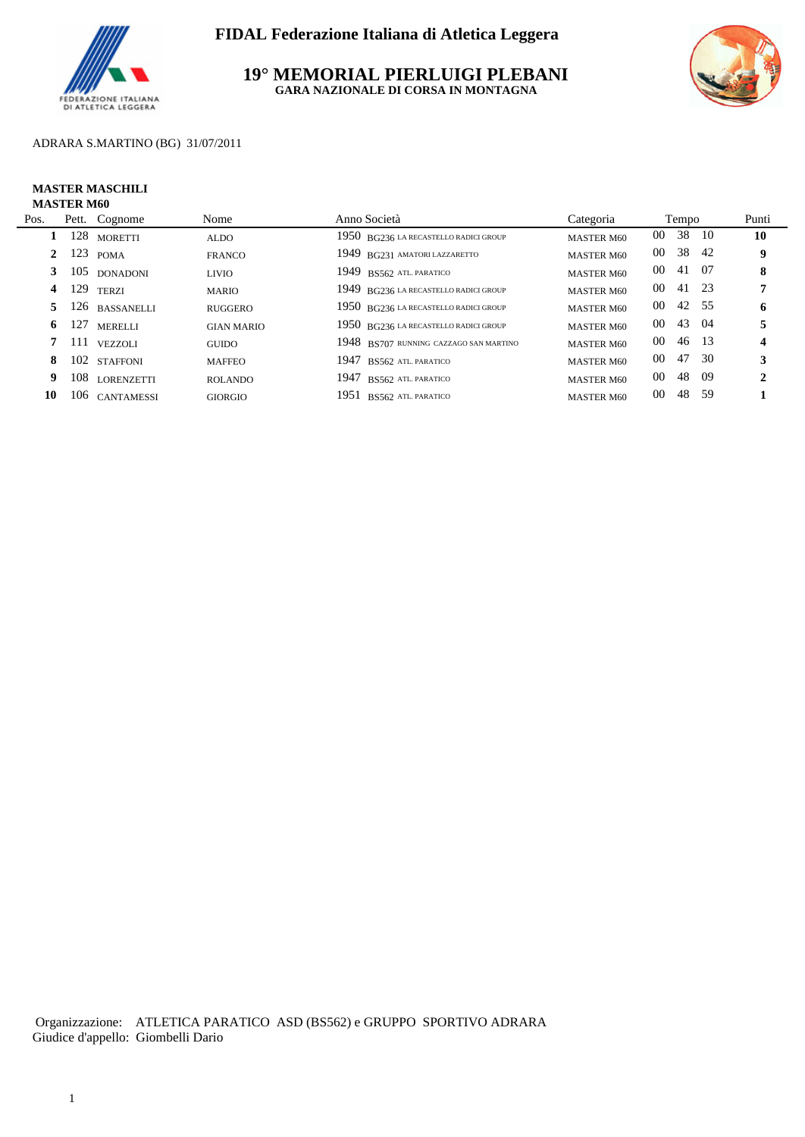

**19° MEMORIAL PIERLUIGI PLEBANI GARA NAZIONALE DI CORSA IN MONTAGNA**



### ADRARA S.MARTINO (BG) 31/07/2011

#### **MASTER MASCHILI MASTER M60**

| Pos. |            | Pett. Cognome    | Nome              | Anno Società                           | Categoria         | Tempo           |       |      | Punti |
|------|------------|------------------|-------------------|----------------------------------------|-------------------|-----------------|-------|------|-------|
|      |            | 128 MORETTI      | <b>ALDO</b>       | 1950 BG236 LA RECASTELLO RADICI GROUP  | <b>MASTER M60</b> | 00              | 38    | - 10 | 10    |
|      | $2 \t 123$ | <b>POMA</b>      | <b>FRANCO</b>     | 1949 BG231 AMATORI LAZZARETTO          | <b>MASTER M60</b> | 00              | 38 42 |      | 9     |
|      |            | 105 DONADONI     | <b>LIVIO</b>      | 1949 BS562 ATL PARATICO                | <b>MASTER M60</b> | 00              | 41 07 |      | 8     |
| 4    | 129        | <b>TERZI</b>     | <b>MARIO</b>      | 1949 BG236 LA RECASTELLO RADICI GROUP  | <b>MASTER M60</b> | $00\,$          | 41 23 |      |       |
|      |            | 5 126 BASSANELLI | <b>RUGGERO</b>    | 1950 BG236 LA RECASTELLO RADICI GROUP  | <b>MASTER M60</b> | 00 <sup>°</sup> | 42 55 |      | 6     |
| 6    | 127        | <b>MERELLI</b>   | <b>GIAN MARIO</b> | 1950 BG236 LA RECASTELLO RADICI GROUP  | <b>MASTER M60</b> | 00 <sup>°</sup> | 43 04 |      | 5     |
|      | 7 111      | <b>VEZZOLI</b>   | <b>GUIDO</b>      | 1948 BS707 RUNNING CAZZAGO SAN MARTINO | <b>MASTER M60</b> | $00\,$          | 46 13 |      |       |
| 8    |            | 102 STAFFONI     | <b>MAFFEO</b>     | 1947 BS562 ATL PARATICO                | <b>MASTER M60</b> | 00 <sup>°</sup> | 47 30 |      |       |
| 9.   |            | 108 LORENZETTI   | <b>ROLANDO</b>    | 1947 BS562 ATL PARATICO                | <b>MASTER M60</b> | $00\,$          | 48    | -09  | 2     |
| 10   |            | 106 CANTAMESSI   | <b>GIORGIO</b>    | 1951 BS562 ATL PARATICO                | <b>MASTER M60</b> | 00              | 48    | - 59 |       |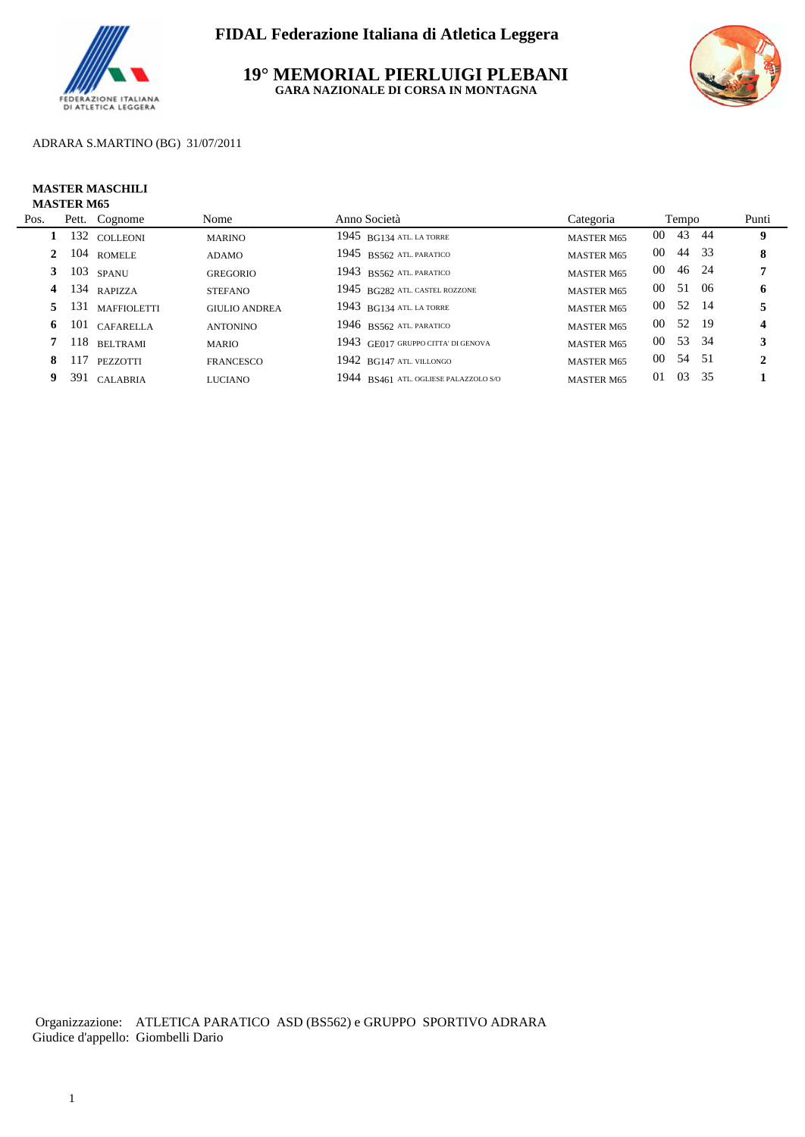

**19° MEMORIAL PIERLUIGI PLEBANI GARA NAZIONALE DI CORSA IN MONTAGNA**



### ADRARA S.MARTINO (BG) 31/07/2011

#### **MASTER MASCHILI MASTER M65**

| Pos. |              | Pett. Cognome     | Nome                 | Anno Società                          | Categoria         |          | Tempo |     | Punti |
|------|--------------|-------------------|----------------------|---------------------------------------|-------------------|----------|-------|-----|-------|
|      |              | 132 COLLEONI      | <b>MARINO</b>        | $1945$ BG134 ATL LA TORRE             | <b>MASTER M65</b> | 00 43 44 |       |     | 9     |
|      | $\mathbf{2}$ | 104 ROMELE        | <b>ADAMO</b>         | 1945 BS562 ATL PARATICO               | <b>MASTER M65</b> | 00 44 33 |       |     | 8     |
|      | 3            | $103$ spanu       | <b>GREGORIO</b>      | 1943 BS562 ATL PARATICO               | <b>MASTER M65</b> | 00 46 24 |       |     |       |
|      | 4            | 134 RAPIZZA       | <b>STEFANO</b>       | 1945 BG282 ATL. CASTEL ROZZONE        | <b>MASTER M65</b> | 00 51    |       | -06 | 6     |
|      |              | 5 131 MAFFIOLETTI | <b>GIULIO ANDREA</b> | $1943$ BG134 ATL. LA TORRE            | <b>MASTER M65</b> | 00 52 14 |       |     |       |
|      | 6            | 101 CAFARELLA     | <b>ANTONINO</b>      | $1946$ BS562 ATL PARATICO             | <b>MASTER M65</b> | 00 52 19 |       |     | 4     |
|      |              | 118 BELTRAMI      | <b>MARIO</b>         | 1943 GE017 GRUPPO CITTA' DI GENOVA    | <b>MASTER M65</b> | 00 53 34 |       |     | 3     |
|      | 117<br>8.    | <b>PEZZOTTI</b>   | FRANCESCO            | $1942$ BG147 ATL VILLONGO             | <b>MASTER M65</b> | 00 54 51 |       |     | 2     |
| 9.   |              | 391 CALABRIA      | <b>LUCIANO</b>       | 1944 BS461 ATL. OGLIESE PALAZZOLO S/O | <b>MASTER M65</b> | 01       | 03 35 |     |       |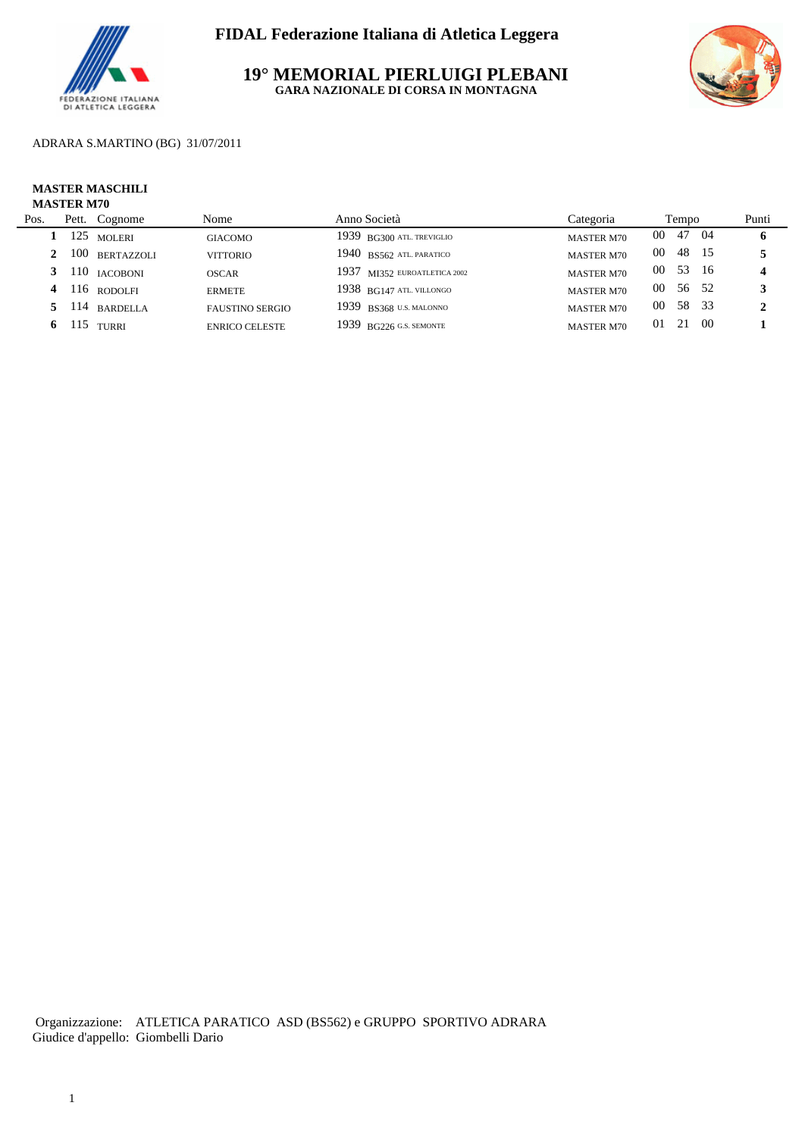

**19° MEMORIAL PIERLUIGI PLEBANI GARA NAZIONALE DI CORSA IN MONTAGNA**



ADRARA S.MARTINO (BG) 31/07/2011

#### **MASTER MASCHILI MASTER M70**

| Pos. | Pett. | Cognome           | Nome                   | Anno Società                 | Categoria         |                 | Tempo |      | Punti |
|------|-------|-------------------|------------------------|------------------------------|-------------------|-----------------|-------|------|-------|
|      | 125   | <b>MOLERI</b>     | <b>GIACOMO</b>         | $1939$ BG300 ATL. TREVIGLIO  | <b>MASTER M70</b> | $00\,$          | 47    | -04  | 6     |
|      | 100   | <b>BERTAZZOLI</b> | <b>VITTORIO</b>        | $1940$ BS562 atl paratico    | <b>MASTER M70</b> | 00              | 48    |      |       |
|      |       | 110 IACOBONI      | <b>OSCAR</b>           | 1937 MI352 EUROATLETICA 2002 | <b>MASTER M70</b> | 00 <sup>1</sup> | 53 16 |      |       |
|      |       | $4$ 116 rodolfi   | <b>ERMETE</b>          | $1938$ BG147 ATL VILLONGO    | <b>MASTER M70</b> | $00\,$          | 56 52 |      |       |
|      |       | 5 114 BARDELLA    | <b>FAUSTINO SERGIO</b> | 1939 BS368 U.S. MALONNO      | <b>MASTER M70</b> | 00              | 58 33 |      |       |
| 6.   |       | $115$ TURRI       | <b>ENRICO CELESTE</b>  | $1939$ BG226 G.S. SEMONTE    | <b>MASTER M70</b> | 0 <sub>1</sub>  | 21    | - 00 |       |
|      |       |                   |                        |                              |                   |                 |       |      |       |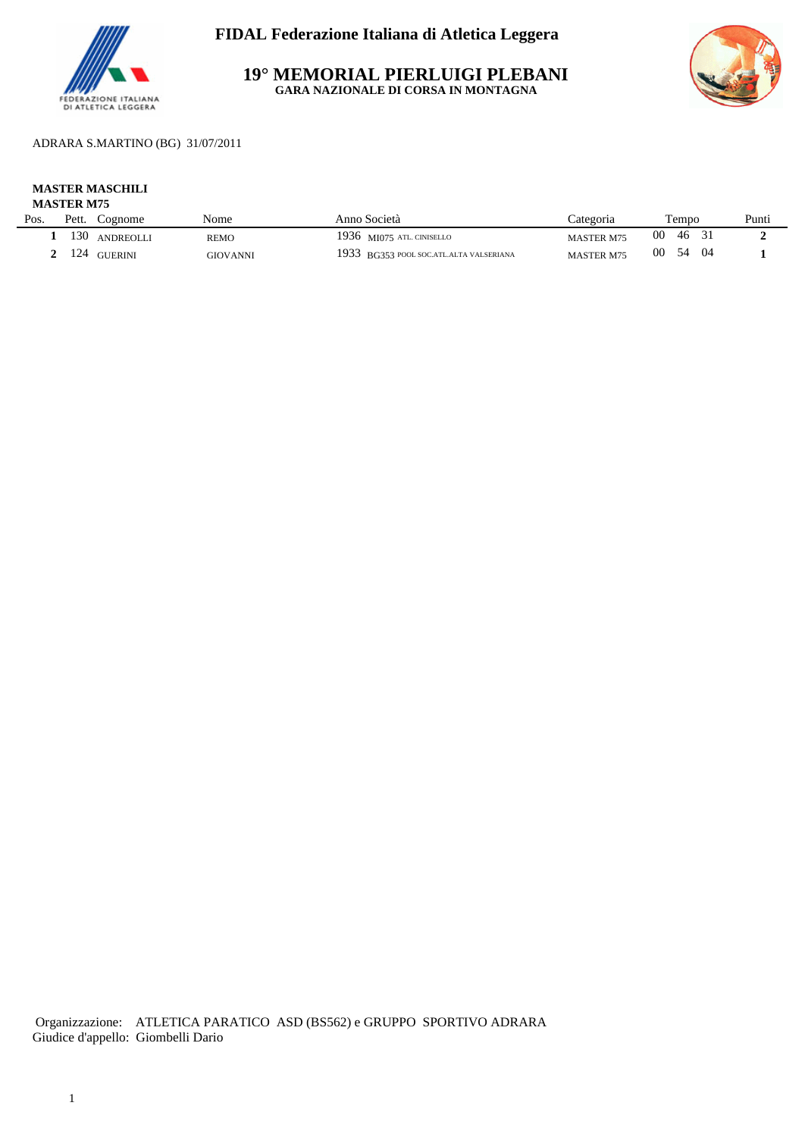

**19° MEMORIAL PIERLUIGI PLEBANI GARA NAZIONALE DI CORSA IN MONTAGNA**



ADRARA S.MARTINO (BG) 31/07/2011

#### **MASTER MASCHILI MASTER M75**

|      | 11110 LEA 111 / J |                  |             |                                         |                   |                  |       |  |  |  |  |
|------|-------------------|------------------|-------------|-----------------------------------------|-------------------|------------------|-------|--|--|--|--|
| Pos. | Pett.             | Cognome          | Nome        | Anno Società                            | `ategoria         | Tempo            | Punti |  |  |  |  |
|      | 130               | <b>ANDREOLLI</b> | <b>REMO</b> | 1936 MI075 ATL. CINISELLO               | <b>MASTER M75</b> | -00<br>46        |       |  |  |  |  |
|      | 124               | <b>GUERINI</b>   | GIOVANNI    | 1933 BG353 POOL SOC.ATL.ALTA VALSERIANA | <b>MASTER M75</b> | -00<br>54<br>-04 |       |  |  |  |  |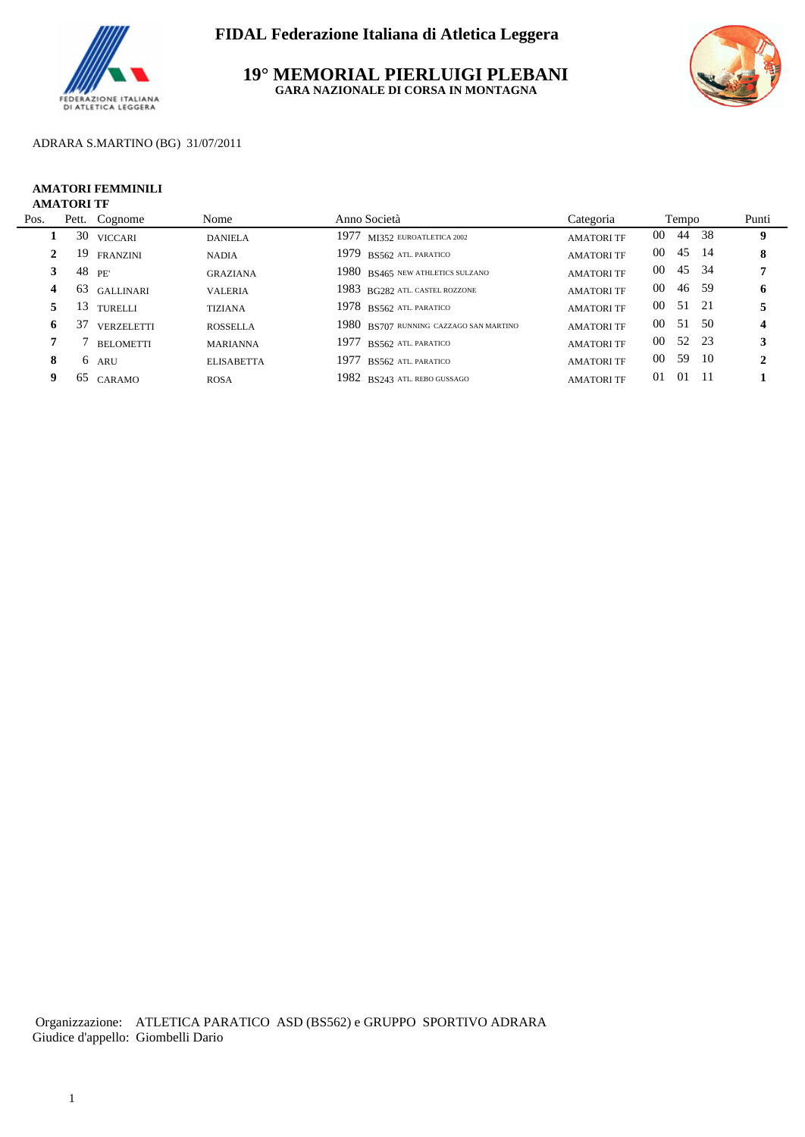

**19° MEMORIAL PIERLUIGI PLEBANI GARA NAZIONALE DI CORSA IN MONTAGNA**



### ADRARA S.MARTINO (BG) 31/07/2011

#### **AMATORI FEMMINILI AMATORI TF**

| Pos. |    | Pett. Cognome     | Nome              | Anno Società                           | Categoria         | Tempo           |       |     | Punti |
|------|----|-------------------|-------------------|----------------------------------------|-------------------|-----------------|-------|-----|-------|
|      |    | 30 VICCARI        | <b>DANIELA</b>    | $1977$ MI352 EUROATLETICA 2002         | <b>AMATORI TF</b> | $00\,$          | 44    | -38 | 9     |
| 2    |    | 19 FRANZINI       | <b>NADIA</b>      | 1979 BS562 ATL PARATICO                | <b>AMATORI TF</b> | 00 45 14        |       |     | 8     |
|      |    | 48 PE'            | <b>GRAZIANA</b>   | 1980 BS465 NEW ATHLETICS SULZANO       | <b>AMATORI TF</b> | 00 45 34        |       |     |       |
| 4    |    | 63 GALLINARI      | <b>VALERIA</b>    | 1983 BG282 ATL. CASTEL ROZZONE         | <b>AMATORI TF</b> | 00 <sup>°</sup> | 46 59 |     | 6     |
|      | 5. | 13 TURELLI        | <b>TIZIANA</b>    | $1978$ BS562 ATL PARATICO              | <b>AMATORI TF</b> | 00 51 21        |       |     |       |
| 6.   | 37 | <b>VERZELETTI</b> | <b>ROSSELLA</b>   | 1980 BS707 RUNNING CAZZAGO SAN MARTINO | <b>AMATORI TF</b> | 00 51 50        |       |     | 4     |
|      |    | <b>BELOMETTI</b>  | <b>MARIANNA</b>   | 1977<br>BS562 ATL PARATICO             | <b>AMATORI TF</b> | 00 52 23        |       |     |       |
| 8    |    | 6 ARU             | <b>ELISABETTA</b> | 1977<br>BS562 ATL PARATICO             | <b>AMATORI TF</b> | 00 59 10        |       |     | 2     |
| 9    |    | 65 CARAMO         | <b>ROSA</b>       | 1982 BS243 ATL. REBO GUSSAGO           | <b>AMATORI TF</b> | 01<br>$\Omega$  |       |     |       |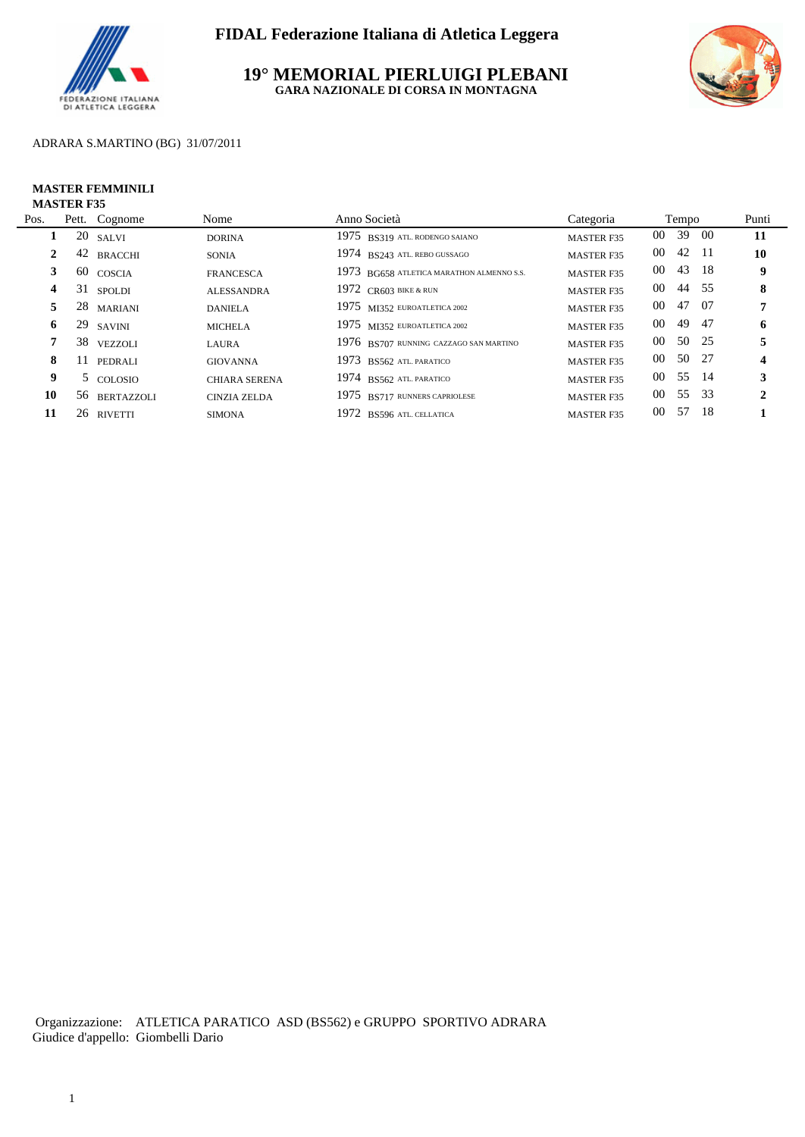

**19° MEMORIAL PIERLUIGI PLEBANI GARA NAZIONALE DI CORSA IN MONTAGNA**



### ADRARA S.MARTINO (BG) 31/07/2011

#### **MASTER FEMMINILI MASTER F35**

| Pos.           |    | Pett. Cognome | Nome                 | Anno Società                              | Categoria         | Tempo                  |      | Punti            |
|----------------|----|---------------|----------------------|-------------------------------------------|-------------------|------------------------|------|------------------|
|                |    | $20$ SALVI    | <b>DORINA</b>        | 1975 BS319 ATL. RODENGO SAIANO            | <b>MASTER F35</b> | 00 39                  | -00  | -11              |
| $\mathbf{2}^-$ |    | 42 BRACCHI    | <b>SONIA</b>         | 1974 BS243 ATL. REBO GUSSAGO              | <b>MASTER F35</b> | 00 42 11               |      | 10               |
|                |    | 60 COSCIA     | <b>FRANCESCA</b>     | 1973 BG658 ATLETICA MARATHON ALMENNO S.S. | <b>MASTER F35</b> | 00 43 18               |      | 9                |
| 4              |    | 31 SPOLDI     | <b>ALESSANDRA</b>    | 1972 $CR603 BIKE & RUN$                   | <b>MASTER F35</b> | 00 44 55               |      | 8                |
| 5.             |    | 28 MARIANI    | <b>DANIELA</b>       | 1975 MI352 EUROATLETICA 2002              | <b>MASTER F35</b> | 00 47 07               |      |                  |
| 6              |    | 29 SAVINI     | <b>MICHELA</b>       | 1975 MI352 EUROATLETICA 2002              | <b>MASTER F35</b> | -49<br>00 <sup>°</sup> | - 47 | 6                |
|                |    | 38 VEZZOLI    | LAURA                | 1976 BS707 RUNNING CAZZAGO SAN MARTINO    | <b>MASTER F35</b> | 00 50 25               |      |                  |
| 8              | 11 | PEDRALI       | <b>GIOVANNA</b>      | 1973 BS562 ATL PARATICO                   | <b>MASTER F35</b> | 00 50 27               |      | $\boldsymbol{4}$ |
| 9              |    | 5 COLOSIO     | <b>CHIARA SERENA</b> | 1974 BS562 ATL PARATICO                   | <b>MASTER F35</b> | 00 55 14               |      | 3                |
| 10             |    | 56 BERTAZZOLI | <b>CINZIA ZELDA</b>  | 1975 BS717 RUNNERS CAPRIOLESE             | <b>MASTER F35</b> | 00 55 33               |      | 2                |
| 11             |    | 26 RIVETTI    | <b>SIMONA</b>        | 1972 BS596 ATL CELLATICA                  | <b>MASTER F35</b> | 57<br>00 <sup>2</sup>  | - 18 |                  |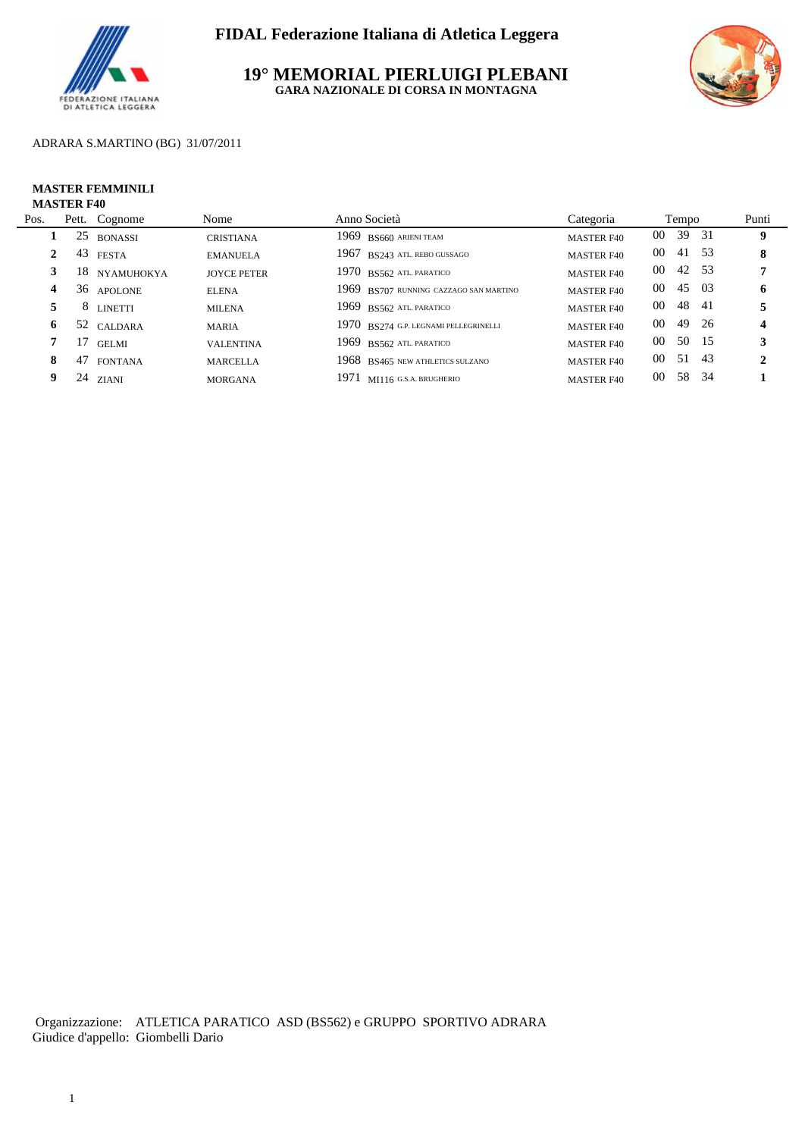

**19° MEMORIAL PIERLUIGI PLEBANI GARA NAZIONALE DI CORSA IN MONTAGNA**



### ADRARA S.MARTINO (BG) 31/07/2011

#### **MASTER FEMMINILI MASTER F40**

| Pos. |    | Pett. Cognome  | Nome               | Anno Società                           | Categoria         | Tempo        |       | Punti        |
|------|----|----------------|--------------------|----------------------------------------|-------------------|--------------|-------|--------------|
|      | 25 | <b>BONASSI</b> | <b>CRISTIANA</b>   | 1969 BS660 ARIENI TEAM                 | <b>MASTER F40</b> | $00\,$       | 39 31 | 9            |
| 2    | 43 | <b>FESTA</b>   | <b>EMANUELA</b>    | 1967 BS243 ATL. REBO GUSSAGO           | <b>MASTER F40</b> | $00\,$       | 41 53 | 8            |
|      |    | 18 NYAMUHOKYA  | <b>JOYCE PETER</b> | $1970$ BS562 ATL PARATICO              | <b>MASTER F40</b> | 00           | 42 53 |              |
| 4    |    | 36 APOLONE     | <b>ELENA</b>       | 1969 BS707 RUNNING CAZZAGO SAN MARTINO | <b>MASTER F40</b> | $00\,$       | 45 03 | 6            |
|      |    | 8 LINETTI      | <b>MILENA</b>      | 1969 BS562 ATL PARATICO                | <b>MASTER F40</b> | $00\,$<br>48 | - 41  |              |
| 6    |    | 52 CALDARA     | <b>MARIA</b>       | 1970 BS274 G.P. LEGNAMI PELLEGRINELLI  | <b>MASTER F40</b> | $00\,$<br>49 | - 26  | 4            |
|      | 17 | <b>GELMI</b>   | <b>VALENTINA</b>   | 1969 BS562 ATL PARATICO                | <b>MASTER F40</b> | $00\,$       | 50 15 | 3            |
| 8    |    | 47 FONTANA     | <b>MARCELLA</b>    | 1968 BS465 NEW ATHLETICS SULZANO       | <b>MASTER F40</b> | $00\,$       | 51 43 | $\mathbf{2}$ |
| 9    |    | $24$ ZIANI     | <b>MORGANA</b>     | 1971 MI116 G.S.A. BRUGHERIO            | <b>MASTER F40</b> | 58<br>$00\,$ | - 34  |              |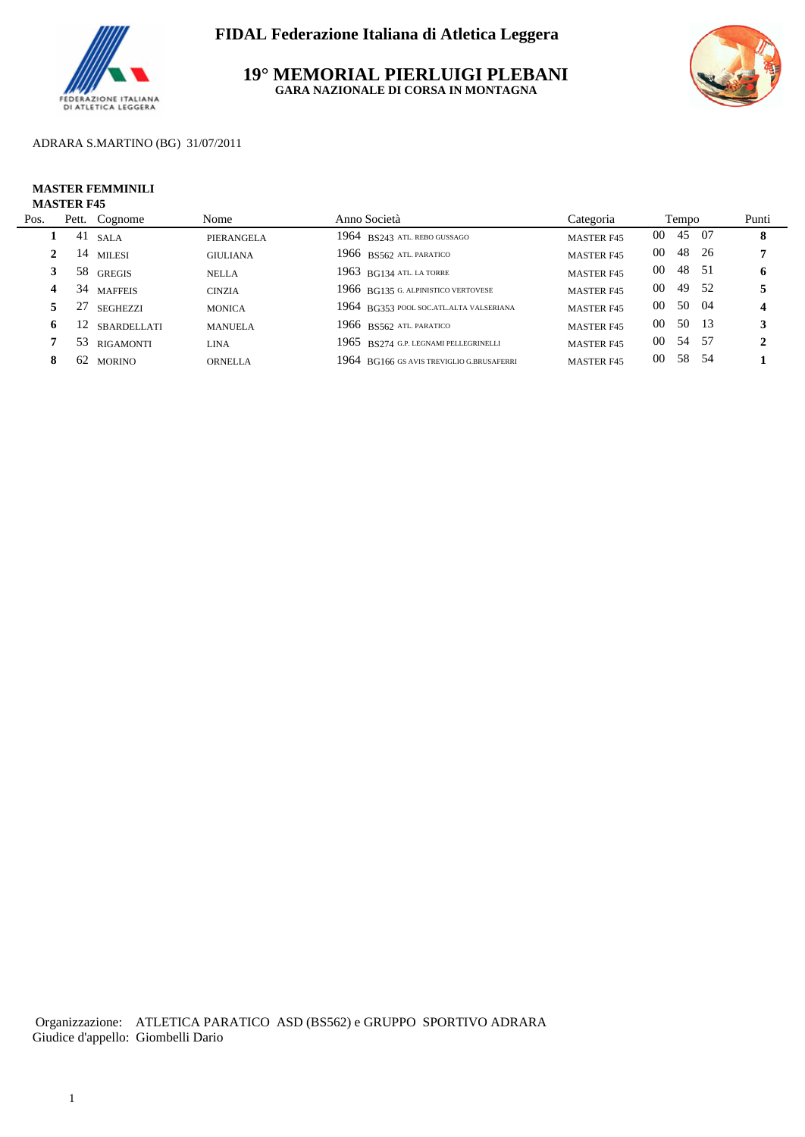

**19° MEMORIAL PIERLUIGI PLEBANI GARA NAZIONALE DI CORSA IN MONTAGNA**



### ADRARA S.MARTINO (BG) 31/07/2011

#### **MASTER FEMMINILI MASTER F45**

| Pos. |    | Pett. Cognome    | Nome            | Anno Società                              | Categoria         |        | Tempo |       | Punti            |
|------|----|------------------|-----------------|-------------------------------------------|-------------------|--------|-------|-------|------------------|
|      | 41 | <b>SALA</b>      | PIERANGELA      | 1964 BS243 ATL. REBO GUSSAGO              | <b>MASTER F45</b> | $00\,$ | 45 07 |       | 8                |
|      |    | 14 MILESI        | <b>GIULIANA</b> | 1966 BS562 ATL PARATICO                   | <b>MASTER F45</b> | $00\,$ |       | 48 26 |                  |
|      |    | 58 GREGIS        | <b>NELLA</b>    | 1963 BG134 ATL LA TORRE                   | <b>MASTER F45</b> | $00\,$ | 48 51 |       | 6                |
| 4    |    | 34 MAFFEIS       | <b>CINZIA</b>   | 1966 BG135 G. ALPINISTICO VERTOVESE       | <b>MASTER F45</b> | $00\,$ | 49 52 |       |                  |
|      | 27 | <b>SEGHEZZI</b>  | <b>MONICA</b>   | 1964 BG353 POOL SOCATLALTA VALSERIANA     | <b>MASTER F45</b> | $00\,$ | 50 04 |       | $\boldsymbol{4}$ |
| 6    | 12 | SBARDELLATI      | <b>MANUELA</b>  | 1966 BS562 ATL PARATICO                   | <b>MASTER F45</b> | $00\,$ | 50 13 |       | 3                |
|      | 53 | <b>RIGAMONTI</b> | LINA            | 1965 BS274 G.P. LEGNAMI PELLEGRINELLI     | <b>MASTER F45</b> | $00\,$ | 54 57 |       | 2                |
| 8    |    | 62 MORINO        | <b>ORNELLA</b>  | 1964 BG166 GS AVIS TREVIGLIO G.BRUSAFERRI | <b>MASTER F45</b> | $00\,$ | 58 54 |       |                  |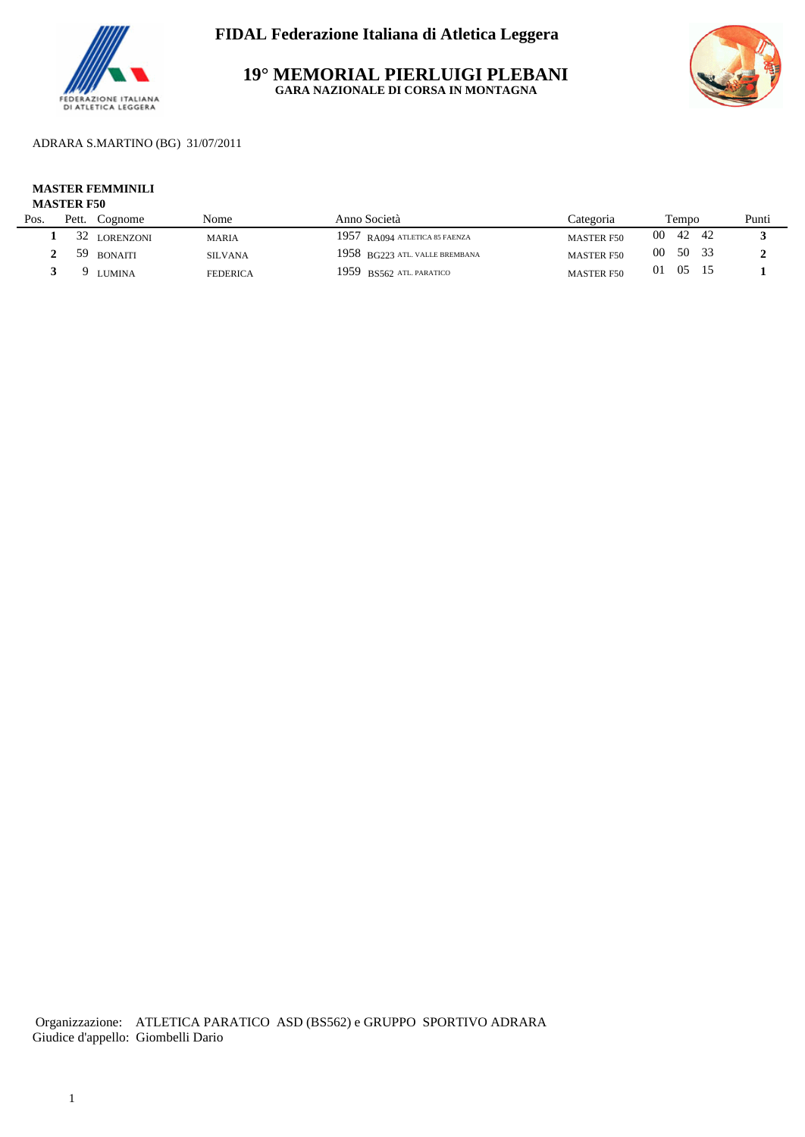

**19° MEMORIAL PIERLUIGI PLEBANI GARA NAZIONALE DI CORSA IN MONTAGNA**



## ADRARA S.MARTINO (BG) 31/07/2011

# **MASTER FEMMINILI**

## **MASTER F50**

| Pos. | Pett. | Cognome          | Nome            | Anno Società                   | Categoria         | Tempo      |       | Punti |
|------|-------|------------------|-----------------|--------------------------------|-------------------|------------|-------|-------|
|      | 32    | <b>LORENZONI</b> | <b>MARIA</b>    | 1957 RA094 ATLETICA 85 FAENZA  | <b>MASTER F50</b> | 00<br>42   | - 42  |       |
|      | 59    | <b>BONAITI</b>   | <b>SILVANA</b>  | 1958 BG223 ATL. VALLE BREMBANA | <b>MASTER F50</b> | -00        | 50 33 |       |
|      |       | <b>LUMINA</b>    | <b>FEDERICA</b> | 1959 BS562 ATL PARATICO        | <b>MASTER F50</b> | - 05<br>01 |       |       |
|      |       |                  |                 |                                |                   |            |       |       |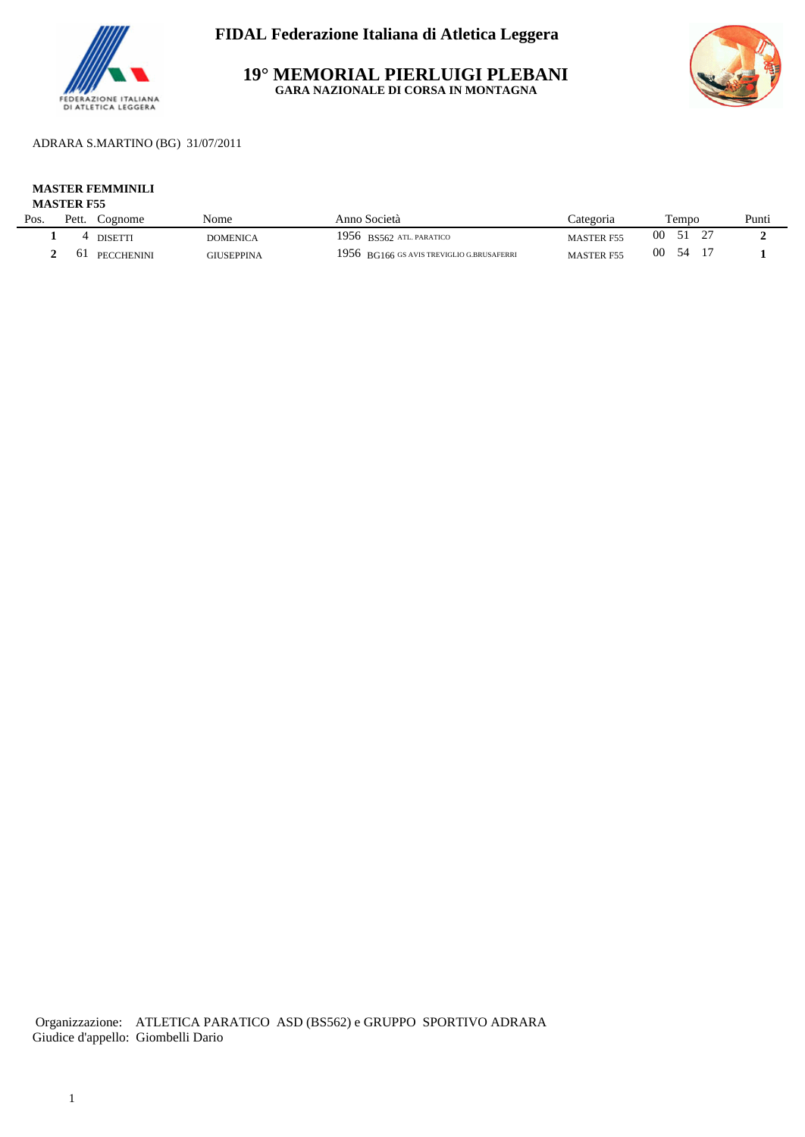

**19° MEMORIAL PIERLUIGI PLEBANI GARA NAZIONALE DI CORSA IN MONTAGNA**



## ADRARA S.MARTINO (BG) 31/07/2011

## **MASTER FEMMINILI**

| Pos. | Pett. | Cognome           | Nome              | Anno Società                              | ategoria          | empo | Punti |
|------|-------|-------------------|-------------------|-------------------------------------------|-------------------|------|-------|
|      |       | DISETT            | <b>DOMENICA</b>   | 1956 BS562 ATL. PARATICO                  | <b>MASTER F55</b> | 00   |       |
|      | 01    | <b>PECCHENINI</b> | <b>GIUSEPPINA</b> | 1956 BG166 GS AVIS TREVIGLIO G.BRUSAFERRI | <b>MASTER F55</b> | 00   |       |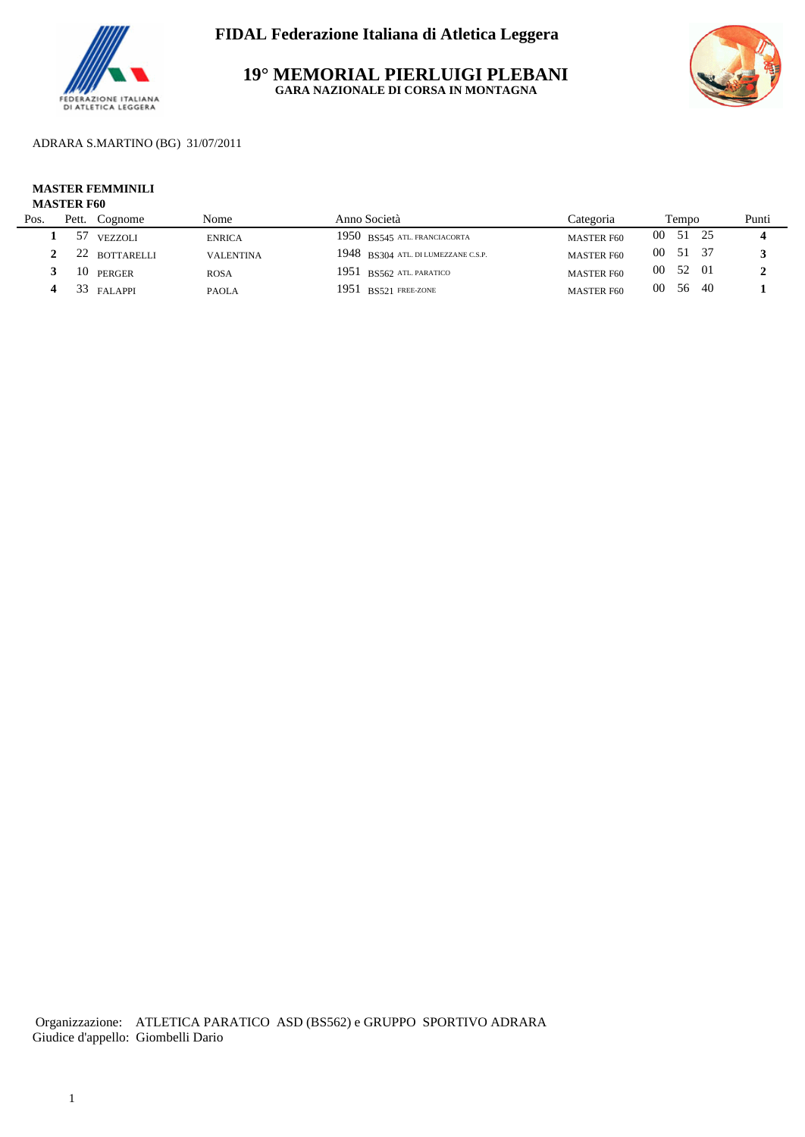

**19° MEMORIAL PIERLUIGI PLEBANI GARA NAZIONALE DI CORSA IN MONTAGNA**



ADRARA S.MARTINO (BG) 31/07/2011

# **MASTER FEMMINILI**

## **MASTER F60**

| Pos. | Pett. | Cognome       | Nome             | Anno Società                        | Categoria         |                 | Tempo |      | Punti |
|------|-------|---------------|------------------|-------------------------------------|-------------------|-----------------|-------|------|-------|
|      | 57    | VEZZOLI       | <b>ENRICA</b>    | 1950 BS545 ATL FRANCIACORTA         | <b>MASTER F60</b> | 00              | 51    |      |       |
|      |       | 22 BOTTARELLI | <b>VALENTINA</b> | 1948 BS304 ATL. DI LUMEZZANE C.S.P. | <b>MASTER F60</b> | $00\,$          | 51    |      |       |
|      |       | 10 PERGER     | <b>ROSA</b>      | $1951$ BS562 ATL PARATICO           | <b>MASTER F60</b> | 00              | 52 01 |      |       |
|      |       | 33 FALAPPI    | <b>PAOLA</b>     | 1951 BS521 FREE-ZONE                | <b>MASTER F60</b> | 00 <sup>°</sup> | 56    | - 40 |       |
|      |       |               |                  |                                     |                   |                 |       |      |       |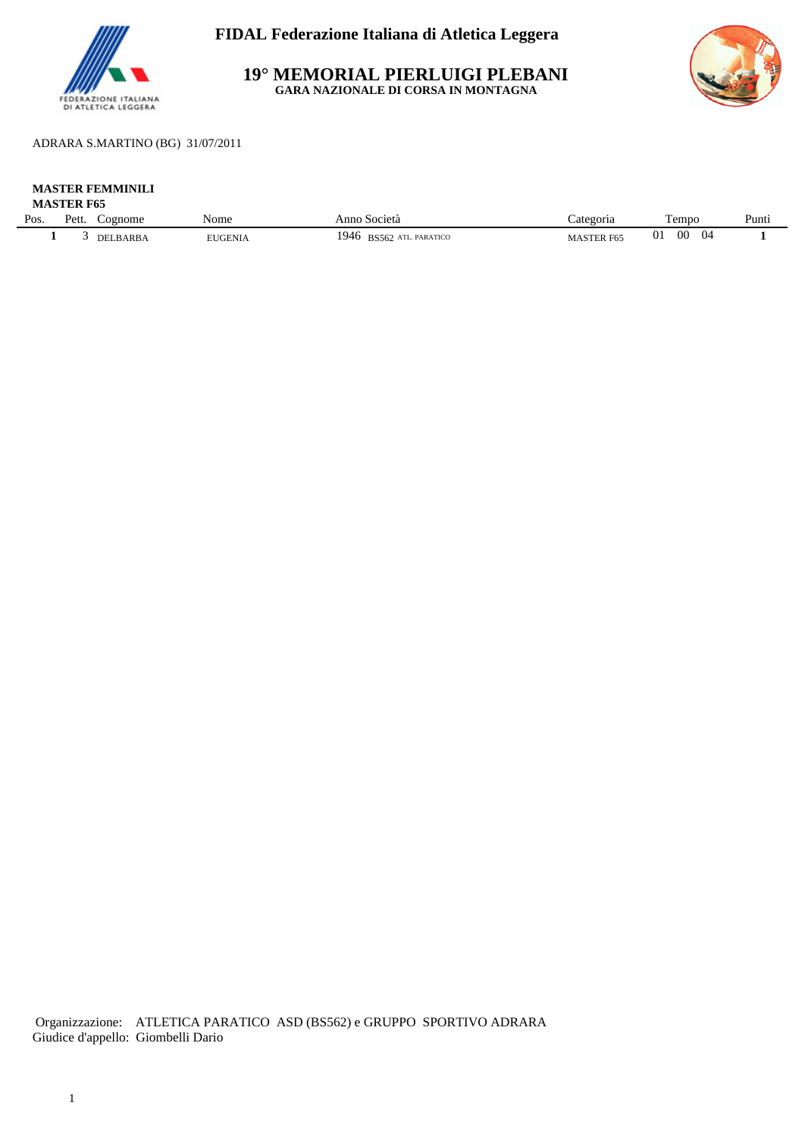

**19° MEMORIAL PIERLUIGI PLEBANI GARA NAZIONALE DI CORSA IN MONTAGNA**



ADRARA S.MARTINO (BG) 31/07/2011

#### **MASTER FEMMINILI MASTER F65**

| <b>WASTER F05</b> |                 |                    |                |                                       |                           |                             |                       |
|-------------------|-----------------|--------------------|----------------|---------------------------------------|---------------------------|-----------------------------|-----------------------|
| Pos.              | $P_{\text{et}}$ | cognome            | - -<br>Nome    | Anno<br>Società                       | Categoria                 | m<br>empo                   | <sub>n</sub><br>Punti |
|                   |                 | <b>BARB</b><br>. . | <b>EUGENIA</b> | 1946<br>ATL. PARATICO<br><b>BS562</b> | MAS1.<br>$\sim$<br>:R F65 | 0 <sub>1</sub><br>00<br>(1) |                       |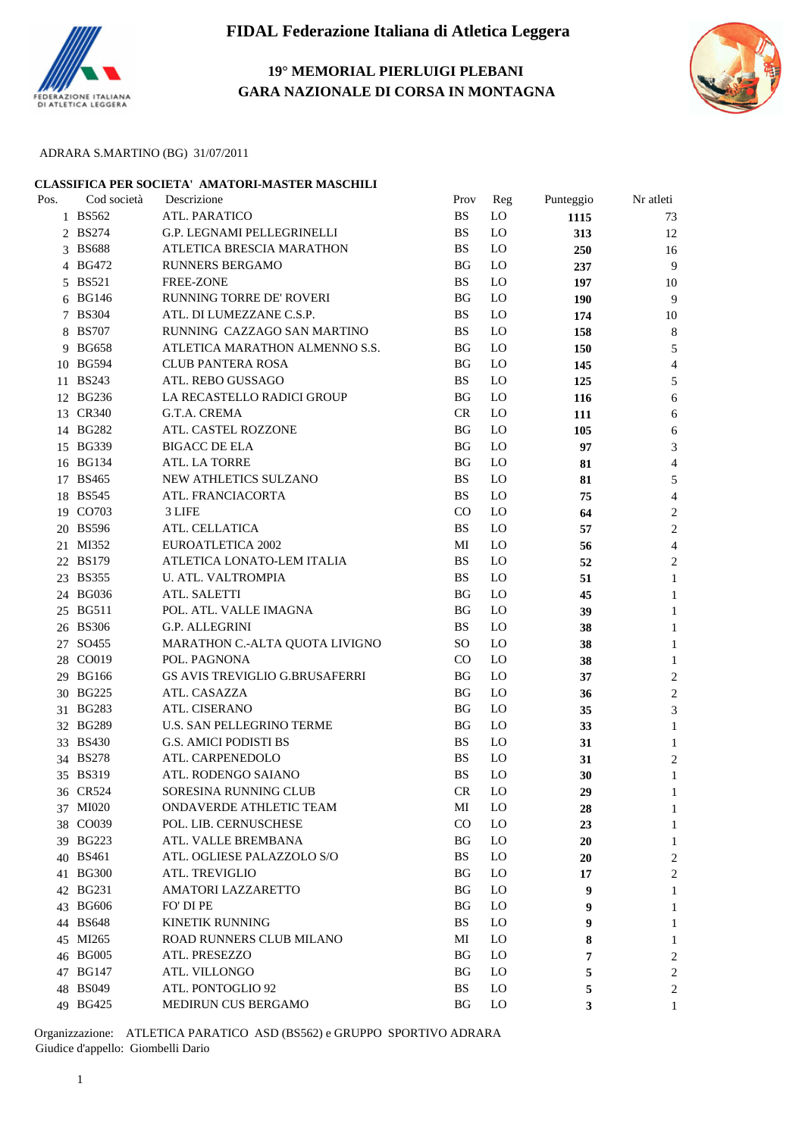

## **19° MEMORIAL PIERLUIGI PLEBANI GARA NAZIONALE DI CORSA IN MONTAGNA**



### ADRARA S.MARTINO (BG) 31/07/2011

| CLASSIFICA PER SOCIETA' AMATORI-MASTER MASCHILI |             |                                       |           |                |            |                |  |  |  |
|-------------------------------------------------|-------------|---------------------------------------|-----------|----------------|------------|----------------|--|--|--|
| Pos.                                            | Cod società | Descrizione                           | Prov      | Reg            | Punteggio  | Nr atleti      |  |  |  |
|                                                 | 1 BS562     | ATL. PARATICO                         | <b>BS</b> | LO             | 1115       | 73             |  |  |  |
|                                                 | 2 BS274     | G.P. LEGNAMI PELLEGRINELLI            | <b>BS</b> | LO             | 313        | 12             |  |  |  |
|                                                 | 3 BS688     | ATLETICA BRESCIA MARATHON             | <b>BS</b> | LO.            | 250        | 16             |  |  |  |
|                                                 | 4 BG472     | RUNNERS BERGAMO                       | <b>BG</b> | LO             | 237        | 9              |  |  |  |
|                                                 | 5 BS521     | <b>FREE-ZONE</b>                      | <b>BS</b> | LO             | 197        | 10             |  |  |  |
|                                                 | 6 BG146     | RUNNING TORRE DE' ROVERI              | <b>BG</b> | LO             | <b>190</b> | 9              |  |  |  |
|                                                 | 7 BS304     | ATL. DI LUMEZZANE C.S.P.              | <b>BS</b> | LO             | 174        | 10             |  |  |  |
|                                                 | 8 BS707     | RUNNING CAZZAGO SAN MARTINO           | <b>BS</b> | LO             | 158        | 8              |  |  |  |
|                                                 | 9 BG658     | ATLETICA MARATHON ALMENNO S.S.        | <b>BG</b> | LO             | 150        | 5              |  |  |  |
|                                                 | 10 BG594    | <b>CLUB PANTERA ROSA</b>              | <b>BG</b> | LO             | 145        | 4              |  |  |  |
|                                                 | 11 BS243    | ATL. REBO GUSSAGO                     | <b>BS</b> | LO             | 125        | 5              |  |  |  |
|                                                 | 12 BG236    | LA RECASTELLO RADICI GROUP            | <b>BG</b> | LO             | 116        | 6              |  |  |  |
|                                                 | 13 CR340    | G.T.A. CREMA                          | CR        | LO             | 111        | 6              |  |  |  |
|                                                 | 14 BG282    | ATL. CASTEL ROZZONE                   | <b>BG</b> | LO             | 105        | 6              |  |  |  |
|                                                 | 15 BG339    | <b>BIGACC DE ELA</b>                  | <b>BG</b> | LO             | 97         | 3              |  |  |  |
|                                                 | 16 BG134    | ATL. LA TORRE                         | <b>BG</b> | LO             | 81         | 4              |  |  |  |
|                                                 | 17 BS465    | NEW ATHLETICS SULZANO                 | <b>BS</b> | LO             | 81         | 5              |  |  |  |
|                                                 | 18 BS545    | ATL. FRANCIACORTA                     | <b>BS</b> | LO             | 75         | 4              |  |  |  |
|                                                 | 19 CO703    | 3 LIFE                                | CO        | LO             | 64         | 2              |  |  |  |
|                                                 | 20 BS596    | ATL. CELLATICA                        | <b>BS</b> | LO             | 57         | $\overline{2}$ |  |  |  |
|                                                 | 21 MI352    | <b>EUROATLETICA 2002</b>              | MI        | LO             | 56         | 4              |  |  |  |
|                                                 | 22 BS179    | ATLETICA LONATO-LEM ITALIA            | <b>BS</b> | LO             | 52         | 2              |  |  |  |
|                                                 | 23 BS355    | U. ATL. VALTROMPIA                    | <b>BS</b> | LO             | 51         | 1              |  |  |  |
|                                                 | 24 BG036    | ATL. SALETTI                          | <b>BG</b> | LO             | 45         | 1              |  |  |  |
|                                                 | 25 BG511    | POL. ATL. VALLE IMAGNA                | <b>BG</b> | LO             | 39         | 1              |  |  |  |
|                                                 | 26 BS306    | G.P. ALLEGRINI                        | <b>BS</b> | LO             | 38         | 1              |  |  |  |
|                                                 | 27 SO455    | MARATHON C.-ALTA QUOTA LIVIGNO        | <b>SO</b> | LO             | 38         | 1              |  |  |  |
|                                                 | 28 CO019    | POL. PAGNONA                          | CO        | LO             | 38         | 1              |  |  |  |
|                                                 | 29 BG166    | <b>GS AVIS TREVIGLIO G.BRUSAFERRI</b> | BG        | LO             | 37         | 2              |  |  |  |
|                                                 | 30 BG225    | ATL. CASAZZA                          | <b>BG</b> | LO             | 36         | $\overline{c}$ |  |  |  |
|                                                 | 31 BG283    | ATL. CISERANO                         | BG        | LO.            | 35         | 3              |  |  |  |
|                                                 | 32 BG289    | <b>U.S. SAN PELLEGRINO TERME</b>      | BG        | LO.            | 33         | 1              |  |  |  |
|                                                 | 33 BS430    | G.S. AMICI PODISTI BS                 | <b>BS</b> | LO             | 31         | 1              |  |  |  |
|                                                 | 34 BS278    | ATL. CARPENEDOLO                      | BS        | L <sub>O</sub> | 31         | 2              |  |  |  |
|                                                 | 35 BS319    | ATL. RODENGO SAIANO                   | <b>BS</b> | LO             | 30         | 1              |  |  |  |
|                                                 | 36 CR524    | SORESINA RUNNING CLUB                 | CR        | LO             | 29         | 1              |  |  |  |
|                                                 | 37 MI020    | ONDAVERDE ATHLETIC TEAM               | MI        | L <sub>O</sub> | 28         | 1              |  |  |  |
|                                                 | 38 CO039    | POL. LIB. CERNUSCHESE                 | CO        | LO             | 23         | 1              |  |  |  |
|                                                 | 39 BG223    | ATL. VALLE BREMBANA                   | BG        | L <sub>O</sub> | 20         | 1              |  |  |  |
|                                                 | 40 BS461    | ATL. OGLIESE PALAZZOLO S/O            | <b>BS</b> | L <sub>O</sub> | 20         | 2              |  |  |  |
|                                                 | 41 BG300    | ATL. TREVIGLIO                        | BG        | L <sub>O</sub> | 17         | 2              |  |  |  |
|                                                 | 42 BG231    | AMATORI LAZZARETTO                    | BG        | L <sub>O</sub> | 9          | 1              |  |  |  |
|                                                 | 43 BG606    | FO' DI PE                             | <b>BG</b> | L <sub>O</sub> | 9          | 1              |  |  |  |
|                                                 | 44 BS648    | <b>KINETIK RUNNING</b>                | BS        | L <sub>O</sub> | 9          | 1              |  |  |  |
|                                                 | 45 MI265    | <b>ROAD RUNNERS CLUB MILANO</b>       | MI        | L <sub>O</sub> | 8          | 1              |  |  |  |
|                                                 | 46 BG005    | ATL. PRESEZZO                         | <b>BG</b> | L <sub>O</sub> | 7          | 2              |  |  |  |
|                                                 | 47 BG147    | ATL. VILLONGO                         | BG        | L <sub>0</sub> | 5          | 2              |  |  |  |
|                                                 | 48 BS049    | ATL. PONTOGLIO 92                     | <b>BS</b> | L <sub>O</sub> | 5          | 2              |  |  |  |
|                                                 | 49 BG425    | MEDIRUN CUS BERGAMO                   | <b>BG</b> | L <sub>0</sub> | 3          | 1              |  |  |  |
|                                                 |             |                                       |           |                |            |                |  |  |  |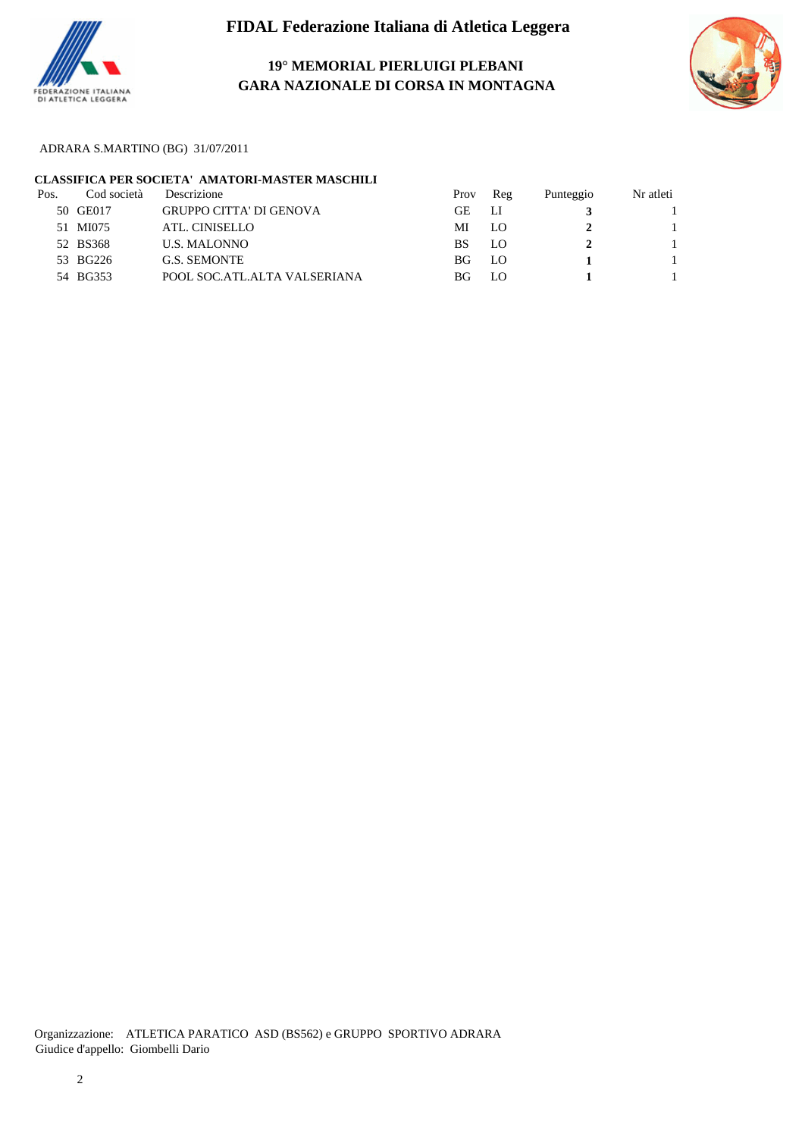

# **19° MEMORIAL PIERLUIGI PLEBANI GARA NAZIONALE DI CORSA IN MONTAGNA**



ADRARA S.MARTINO (BG) 31/07/2011

## **CLASSIFICA PER SOCIETA' AMATORI-MASTER MASCHILI**

| Pos. | Cod società | Descrizione                    | Prov | Reg | Punteggio | Nr atleti |
|------|-------------|--------------------------------|------|-----|-----------|-----------|
|      | 50 GE017    | <b>GRUPPO CITTA' DI GENOVA</b> | GЕ   | ЛJ  |           |           |
|      | 51 MI075    | ATL. CINISELLO                 | MI   | LO  |           |           |
|      | 52 BS368    | <b>U.S. MALONNO</b>            | BS   | LO  |           |           |
|      | 53 BG226    | <b>G.S. SEMONTE</b>            | BG.  | LO  |           |           |
|      | 54 BG353    | POOL SOC.ATL.ALTA VALSERIANA   | ΒG   | LO  |           |           |